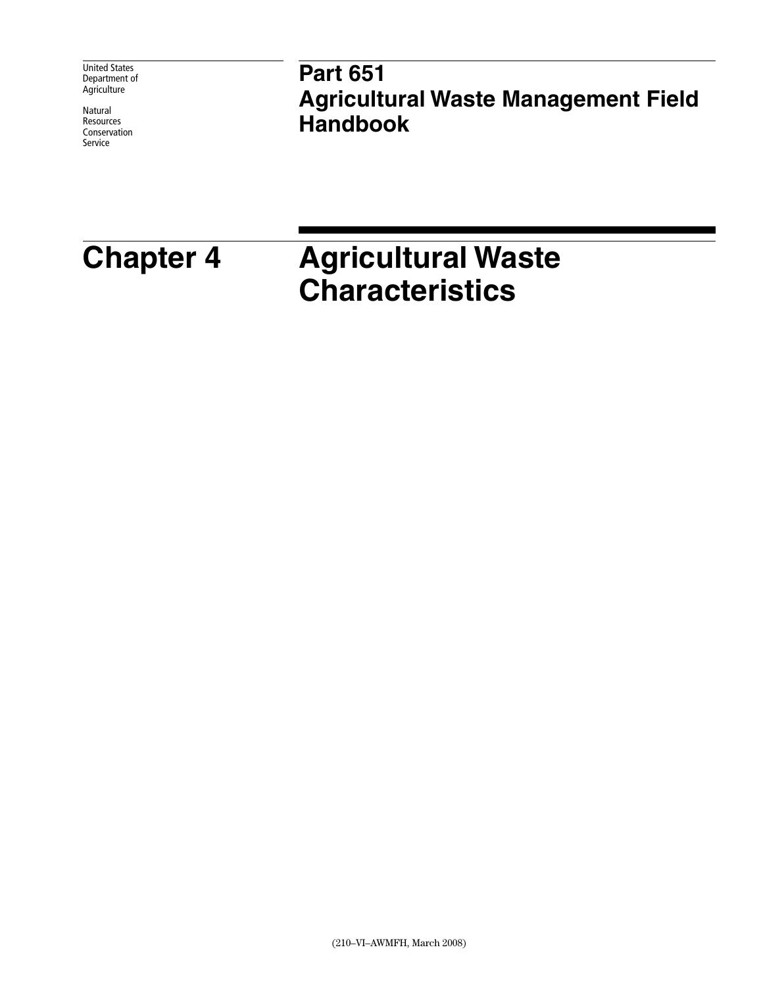United States Department of **Agriculture** 

Natural Resources Conservation Service

# **Part 651 Agricultural Waste Management Field Handbook**

# <span id="page-0-0"></span>**Chapter 4 Agricultural Waste Characteristics**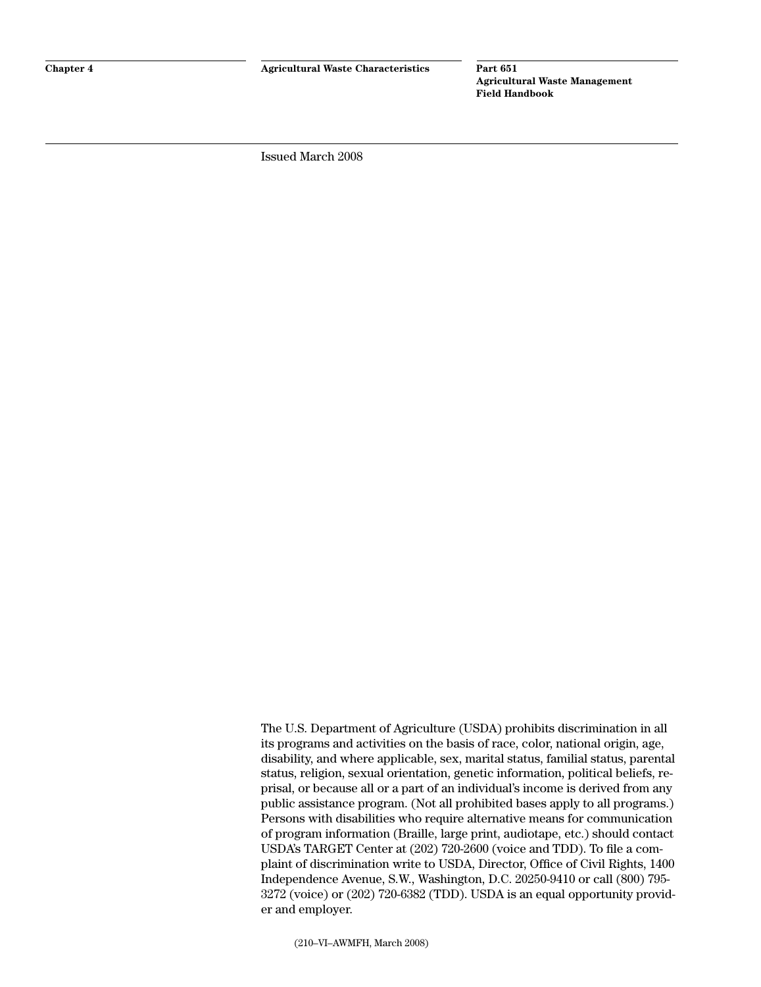<span id="page-1-0"></span>Issued March 2008

The U.S. Department of Agriculture (USDA) prohibits discrimination in all its programs and activities on the basis of race, color, national origin, age, disability, and where applicable, sex, marital status, familial status, parental status, religion, sexual orientation, genetic information, political beliefs, reprisal, or because all or a part of an individual's income is derived from any public assistance program. (Not all prohibited bases apply to all programs.) Persons with disabilities who require alternative means for communication of program information (Braille, large print, audiotape, etc.) should contact USDA's TARGET Center at (202) 720-2600 (voice and TDD). To file a complaint of discrimination write to USDA, Director, Office of Civil Rights, 1400 Independence Avenue, S.W., Washington, D.C. 20250-9410 or call (800) 795- 3272 (voice) or (202) 720-6382 (TDD). USDA is an equal opportunity provider and employer.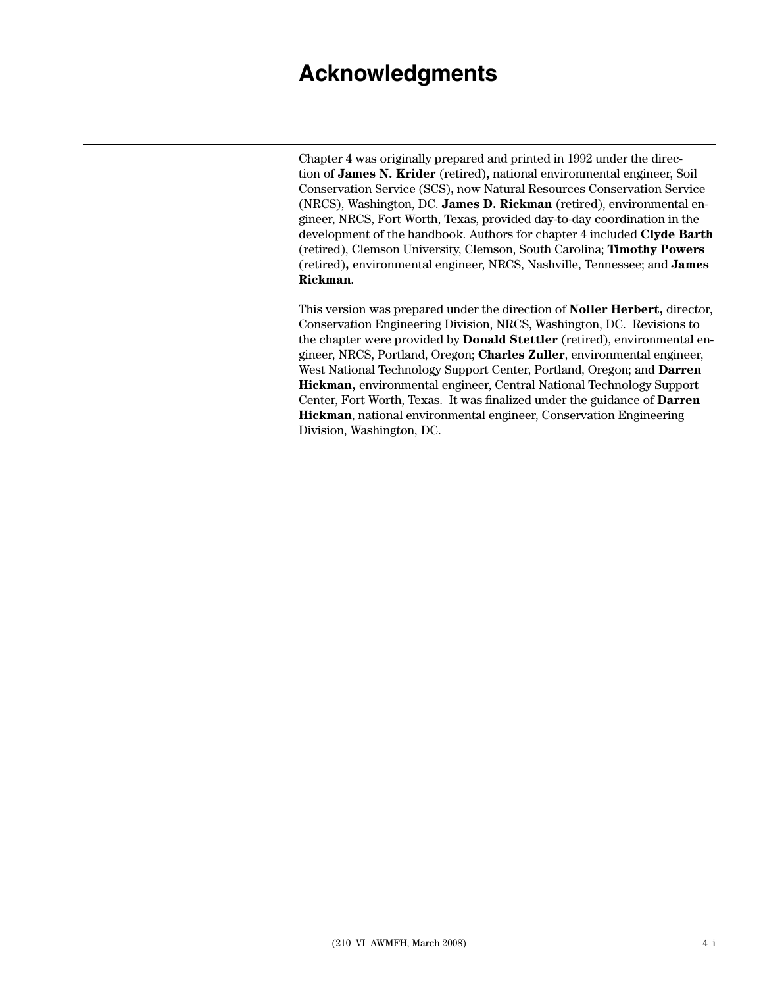# <span id="page-2-0"></span>**Acknowledgments**

Chapter 4 was originally prepared and printed in 1992 under the direction of **James N. Krider** (retired)**,** national environmental engineer, Soil Conservation Service (SCS), now Natural Resources Conservation Service (NRCS), Washington, DC. **James D. Rickman** (retired), environmental engineer, NRCS, Fort Worth, Texas, provided day-to-day coordination in the development of the handbook. Authors for chapter 4 included **Clyde Barth**  (retired), Clemson University, Clemson, South Carolina; **Timothy Powers** (retired)**,** environmental engineer, NRCS, Nashville, Tennessee; and **James Rickman**.

This version was prepared under the direction of **Noller Herbert,** director, Conservation Engineering Division, NRCS, Washington, DC. Revisions to the chapter were provided by **Donald Stettler** (retired), environmental engineer, NRCS, Portland, Oregon; **Charles Zuller**, environmental engineer, West National Technology Support Center, Portland, Oregon; and **Darren Hickman,** environmental engineer, Central National Technology Support Center, Fort Worth, Texas. It was finalized under the guidance of **Darren Hickman**, national environmental engineer, Conservation Engineering Division, Washington, DC.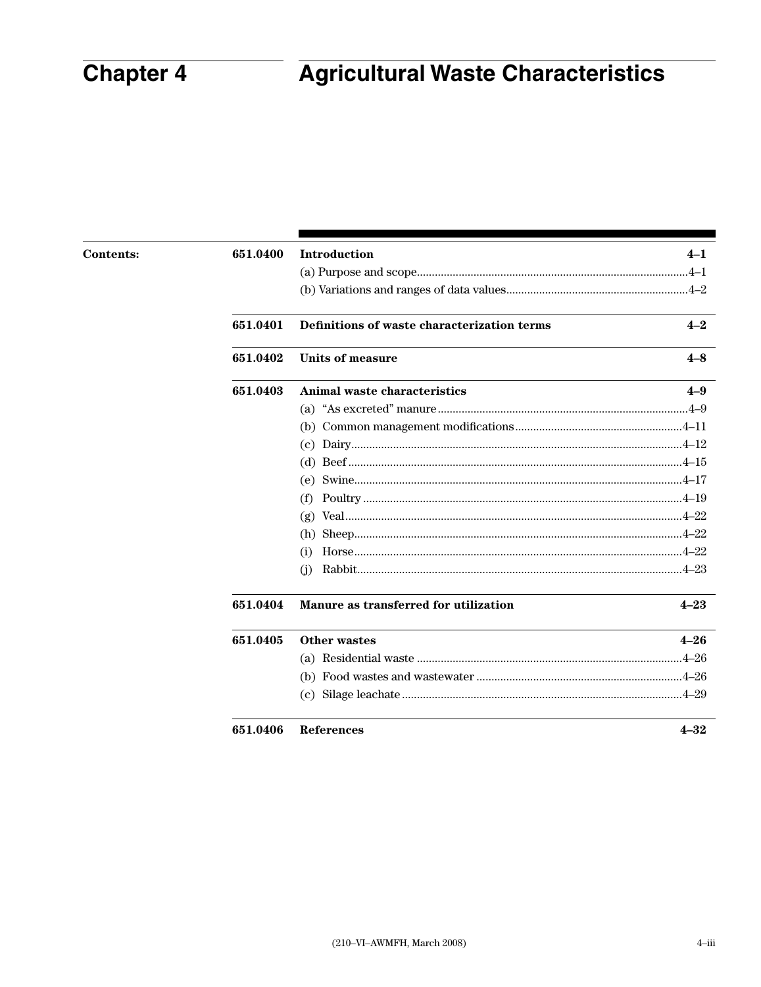# **Chapter 4**

# **Agricultural Waste Characteristics**

| <b>Contents:</b> | 651.0400 | Introduction                                | $4 - 1$  |
|------------------|----------|---------------------------------------------|----------|
|                  |          |                                             |          |
|                  |          |                                             |          |
|                  | 651.0401 | Definitions of waste characterization terms | $4 - 2$  |
|                  | 651.0402 | <b>Units of measure</b>                     | $4-8$    |
|                  | 651.0403 | Animal waste characteristics                | $4 - 9$  |
|                  |          |                                             |          |
|                  |          |                                             |          |
|                  |          |                                             |          |
|                  |          |                                             |          |
|                  |          | (e)                                         |          |
|                  |          | (f)                                         |          |
|                  |          | (g)                                         |          |
|                  |          | (h)                                         |          |
|                  |          | (1)                                         |          |
|                  |          | (j)                                         |          |
|                  | 651.0404 | Manure as transferred for utilization       | $4 - 23$ |
|                  | 651.0405 | <b>Other wastes</b>                         | $4 - 26$ |
|                  |          |                                             |          |
|                  |          |                                             |          |
|                  |          |                                             |          |
|                  | 651.0406 | <b>References</b>                           | $4 - 32$ |
|                  |          |                                             |          |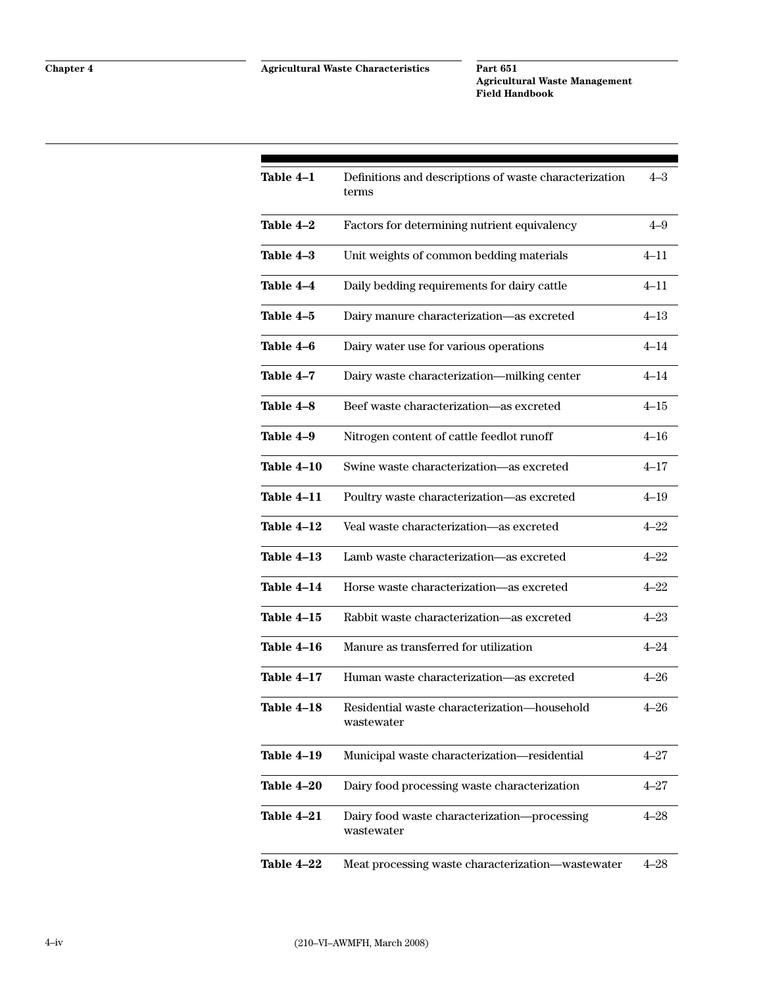| Table 4-1  | Definitions and descriptions of waste characterization<br>terms | $4 - 3$  |
|------------|-----------------------------------------------------------------|----------|
| Table 4-2  | Factors for determining nutrient equivalency                    | $4 - 9$  |
| Table 4-3  | Unit weights of common bedding materials                        | $4 - 11$ |
| Table 4-4  | Daily bedding requirements for dairy cattle                     | $4 - 11$ |
| Table 4-5  | Dairy manure characterization-as excreted                       | $4 - 13$ |
| Table 4-6  | Dairy water use for various operations                          | $4 - 14$ |
| Table 4-7  | Dairy waste characterization-milking center                     | $4 - 14$ |
| Table 4-8  | Beef waste characterization-as excreted                         | $4 - 15$ |
| Table 4-9  | Nitrogen content of cattle feedlot runoff                       | $4 - 16$ |
| Table 4-10 | Swine waste characterization-as excreted                        | $4 - 17$ |
| Table 4-11 | Poultry waste characterization-as excreted                      | $4 - 19$ |
| Table 4-12 | Veal waste characterization-as excreted                         | $4 - 22$ |
| Table 4-13 | Lamb waste characterization-as excreted                         | $4 - 22$ |
| Table 4-14 | Horse waste characterization-as excreted                        | $4 - 22$ |
| Table 4–15 | Rabbit waste characterization-as excreted                       | $4 - 23$ |
| Table 4-16 | Manure as transferred for utilization                           | $4 - 24$ |
| Table 4–17 | Human waste characterization-as excreted                        | $4 - 26$ |
| Table 4–18 | Residential waste characterization-household<br>wastewater      | $4 - 26$ |
| Table 4-19 | Municipal waste characterization-residential                    | $4 - 27$ |
| Table 4-20 | Dairy food processing waste characterization                    | $4 - 27$ |
| Table 4–21 | Dairy food waste characterization-processing<br>wastewater      | $4 - 28$ |
| Table 4-22 | Meat processing waste characterization—wastewater               | $4 - 28$ |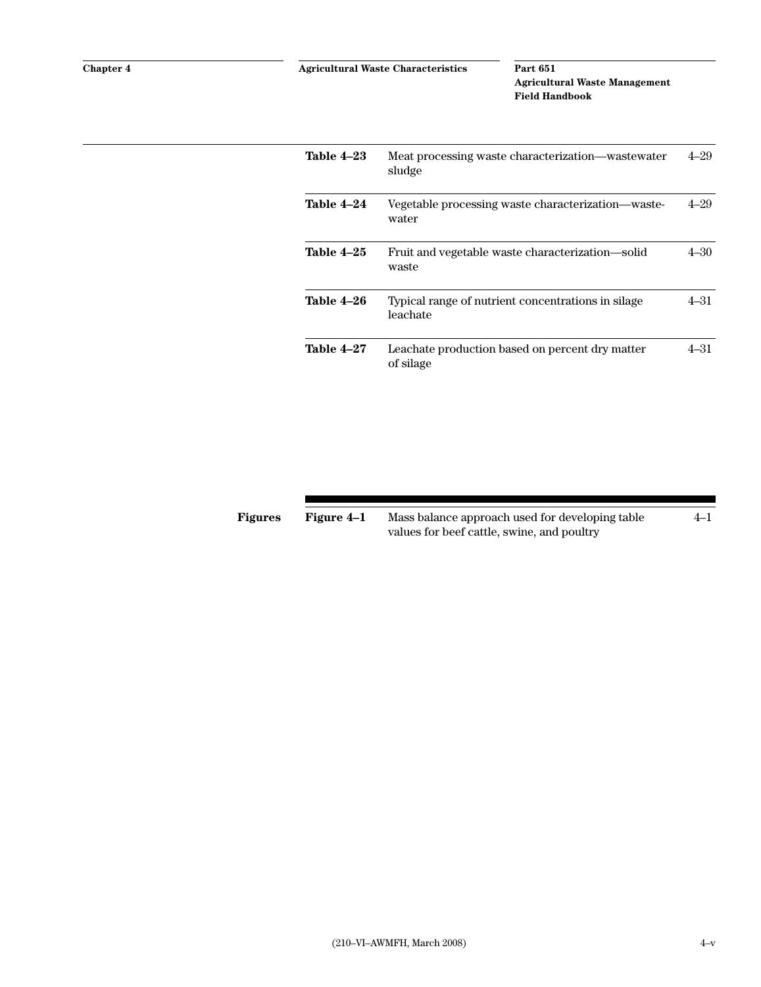| Table 4–23        | Meat processing waste characterization—wastewater<br>sludge    | 4–29     |
|-------------------|----------------------------------------------------------------|----------|
| Table 4–24        | Vegetable processing waste characterization—waste-<br>water    | $4 - 29$ |
| Table 4–25        | Fruit and vegetable waste characterization—solid<br>waste      | 4–30     |
| Table 4-26        | Typical range of nutrient concentrations in silage<br>leachate | 4–31     |
| <b>Table 4-27</b> | Leachate production based on percent dry matter<br>of silage   | 4–31     |

| Figure 4–1<br><b>Figures</b> |  | Mass balance approach used for developing table |  |
|------------------------------|--|-------------------------------------------------|--|
|                              |  | values for beef cattle, swine, and poultry      |  |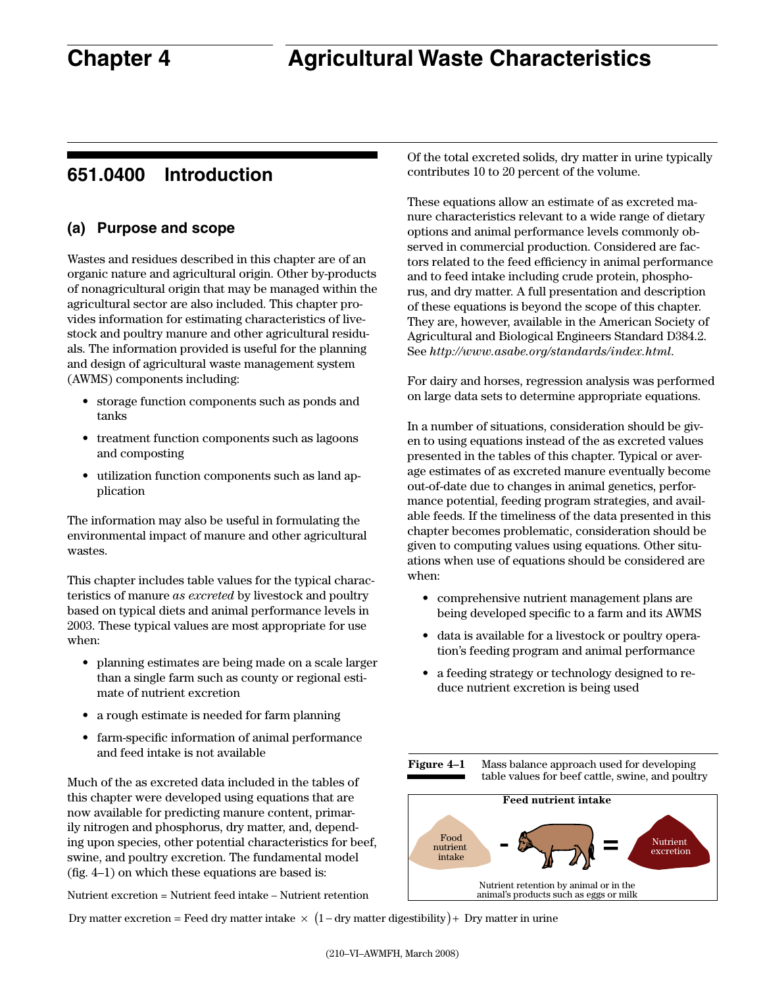# <span id="page-8-0"></span>**651.0400 Introduction**

# **(a) Purpose and scope**

Wastes and residues described in this chapter are of an organic nature and agricultural origin. Other by-products of nonagricultural origin that may be managed within the agricultural sector are also included. This chapter provides information for estimating characteristics of livestock and poultry manure and other agricultural residuals. The information provided is useful for the planning and design of agricultural waste management system (AWMS) components including:

- • storage function components such as ponds and tanks
- • treatment function components such as lagoons and composting
- utilization function components such as land application

The information may also be useful in formulating the environmental impact of manure and other agricultural wastes.

This chapter includes table values for the typical characteristics of manure *as excreted* by livestock and poultry based on typical diets and animal performance levels in 2003. These typical values are most appropriate for use when:

- planning estimates are being made on a scale larger than a single farm such as county or regional estimate of nutrient excretion
- a rough estimate is needed for farm planning
- • farm-specific information of animal performance and feed intake is not available

Much of the as excreted data included in the tables of this chapter were developed using equations that are now available for predicting manure content, primarily nitrogen and phosphorus, dry matter, and, depending upon species, other potential characteristics for beef, swine, and poultry excretion. The fundamental model (fig. 4–1) on which these equations are based is:

Nutrient excretion = Nutrient feed intake – Nutrient retention

Dry matter excretion = Feed dry matter intake  $\times$  (1 – dry matter digestibility) + Dry matter in urine

Of the total excreted solids, dry matter in urine typically contributes 10 to 20 percent of the volume.

These equations allow an estimate of as excreted manure characteristics relevant to a wide range of dietary options and animal performance levels commonly observed in commercial production. Considered are factors related to the feed efficiency in animal performance and to feed intake including crude protein, phosphorus, and dry matter. A full presentation and description of these equations is beyond the scope of this chapter. They are, however, available in the American Society of Agricultural and Biological Engineers Standard D384.2. See *http://www.asabe.org/standards/index.html*.

For dairy and horses, regression analysis was performed on large data sets to determine appropriate equations.

In a number of situations, consideration should be given to using equations instead of the as excreted values presented in the tables of this chapter. Typical or average estimates of as excreted manure eventually become out-of-date due to changes in animal genetics, performance potential, feeding program strategies, and available feeds. If the timeliness of the data presented in this chapter becomes problematic, consideration should be given to computing values using equations. Other situations when use of equations should be considered are when:

- comprehensive nutrient management plans are being developed specific to a farm and its AWMS
- • data is available for a livestock or poultry operation's feeding program and animal performance
- a feeding strategy or technology designed to reduce nutrient excretion is being used



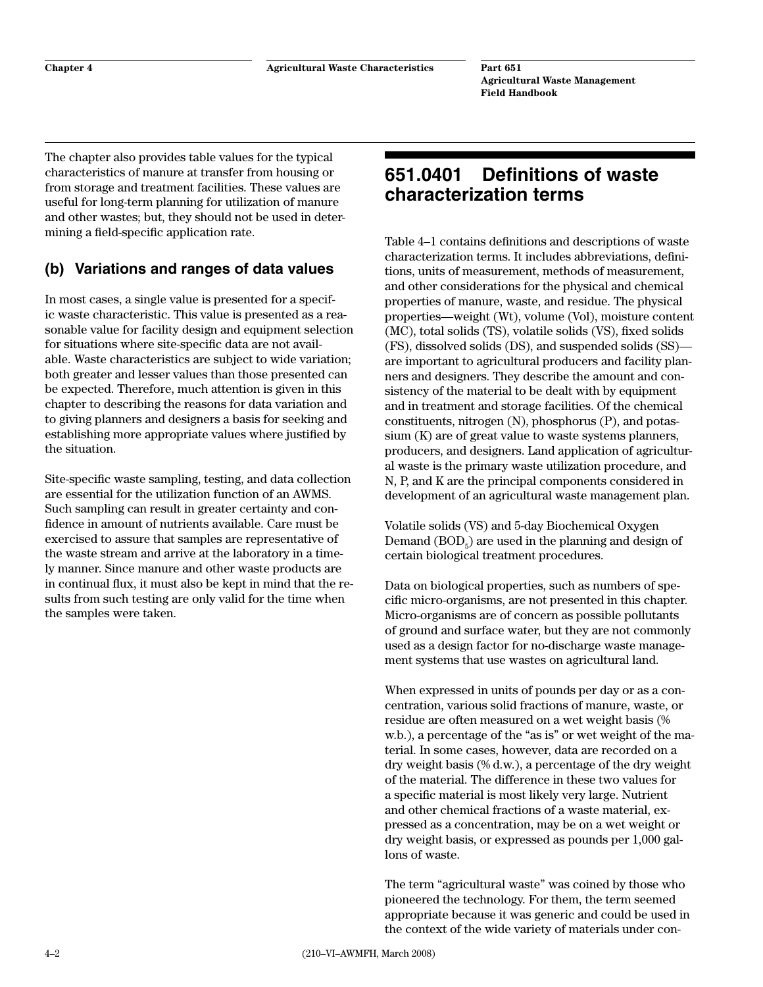The chapter also provides table values for the typical characteristics of manure at transfer from housing or from storage and treatment facilities. These values are useful for long-term planning for utilization of manure and other wastes; but, they should not be used in determining a field-specific application rate.

# **(b) Variations and ranges of data values**

In most cases, a single value is presented for a specific waste characteristic. This value is presented as a reasonable value for facility design and equipment selection for situations where site-specific data are not available. Waste characteristics are subject to wide variation; both greater and lesser values than those presented can be expected. Therefore, much attention is given in this chapter to describing the reasons for data variation and to giving planners and designers a basis for seeking and establishing more appropriate values where justified by the situation.

Site-specific waste sampling, testing, and data collection are essential for the utilization function of an AWMS. Such sampling can result in greater certainty and confidence in amount of nutrients available. Care must be exercised to assure that samples are representative of the waste stream and arrive at the laboratory in a timely manner. Since manure and other waste products are in continual flux, it must also be kept in mind that the results from such testing are only valid for the time when the samples were taken.

# **651.0401 Definitions of waste characterization terms**

Table 4–1 contains definitions and descriptions of waste characterization terms. It includes abbreviations, definitions, units of measurement, methods of measurement, and other considerations for the physical and chemical properties of manure, waste, and residue. The physical properties—weight (Wt), volume (Vol), moisture content (MC), total solids (TS), volatile solids (VS), fixed solids (FS), dissolved solids (DS), and suspended solids (SS) are important to agricultural producers and facility planners and designers. They describe the amount and consistency of the material to be dealt with by equipment and in treatment and storage facilities. Of the chemical constituents, nitrogen (N), phosphorus (P), and potassium (K) are of great value to waste systems planners, producers, and designers. Land application of agricultural waste is the primary waste utilization procedure, and N, P, and K are the principal components considered in development of an agricultural waste management plan.

Volatile solids (VS) and 5-day Biochemical Oxygen Demand  $(BOD_{5})$  are used in the planning and design of certain biological treatment procedures.

Data on biological properties, such as numbers of specific micro-organisms, are not presented in this chapter. Micro-organisms are of concern as possible pollutants of ground and surface water, but they are not commonly used as a design factor for no-discharge waste management systems that use wastes on agricultural land.

When expressed in units of pounds per day or as a concentration, various solid fractions of manure, waste, or residue are often measured on a wet weight basis (% w.b.), a percentage of the "as is" or wet weight of the material. In some cases, however, data are recorded on a dry weight basis (% d.w.), a percentage of the dry weight of the material. The difference in these two values for a specific material is most likely very large. Nutrient and other chemical fractions of a waste material, expressed as a concentration, may be on a wet weight or dry weight basis, or expressed as pounds per 1,000 gallons of waste.

The term "agricultural waste" was coined by those who pioneered the technology. For them, the term seemed appropriate because it was generic and could be used in the context of the wide variety of materials under con-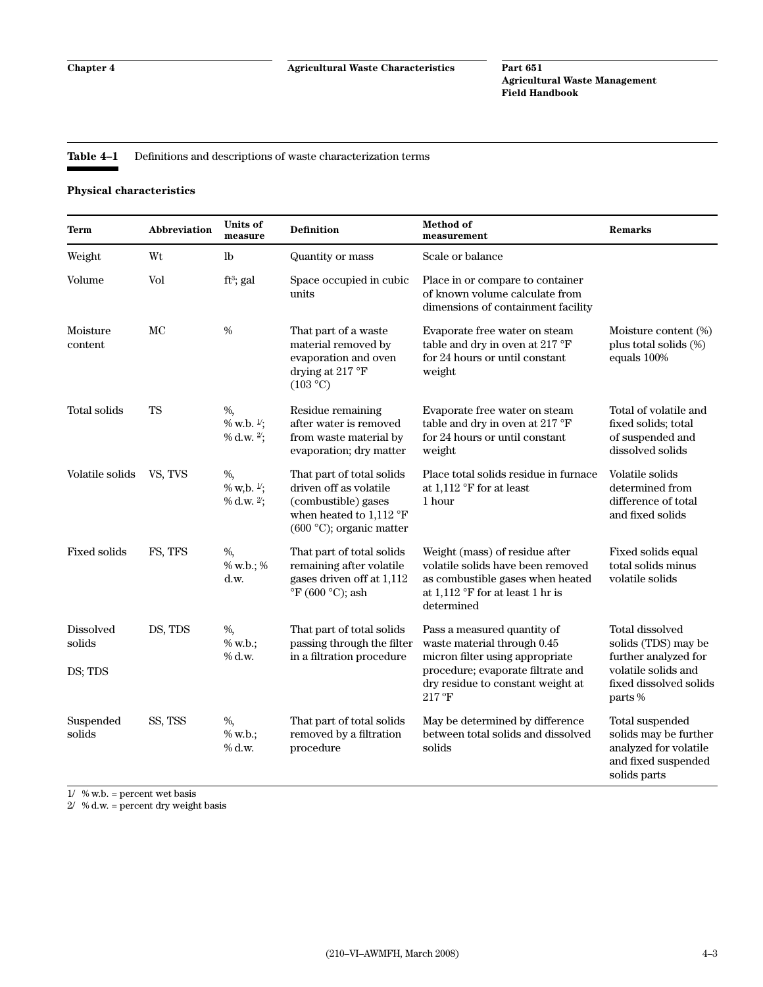#### <span id="page-10-0"></span>**Table 4–1** Definitions and descriptions of waste characterization terms

#### **Physical characteristics**

| Term                                  | Abbreviation | <b>Units of</b><br>measure                      | Definition                                                                                                                                  | <b>Method</b> of<br>measurement                                                                                                                                         | <b>Remarks</b>                                                                                                         |
|---------------------------------------|--------------|-------------------------------------------------|---------------------------------------------------------------------------------------------------------------------------------------------|-------------------------------------------------------------------------------------------------------------------------------------------------------------------------|------------------------------------------------------------------------------------------------------------------------|
| Weight                                | Wt           | $_{\rm lb}$                                     | Quantity or mass                                                                                                                            | Scale or balance                                                                                                                                                        |                                                                                                                        |
| Volume                                | Vol          | $ft^3$ ; gal                                    | Space occupied in cubic<br>units                                                                                                            | Place in or compare to container<br>of known volume calculate from<br>dimensions of containment facility                                                                |                                                                                                                        |
| Moisture<br>content                   | MC           | $\frac{0}{0}$                                   | That part of a waste<br>material removed by<br>evaporation and oven<br>drying at 217 °F<br>(103 °C)                                         | Evaporate free water on steam<br>table and dry in oven at 217 °F<br>for 24 hours or until constant<br>weight                                                            | Moisture content (%)<br>plus total solids (%)<br>equals 100%                                                           |
| Total solids                          | <b>TS</b>    | $\%$ ,<br>% w.b. <sup>1/</sup> ;<br>% d.w. 2';  | Residue remaining<br>after water is removed<br>from waste material by<br>evaporation; dry matter                                            | Evaporate free water on steam<br>table and dry in oven at 217 °F<br>for 24 hours or until constant<br>weight                                                            | Total of volatile and<br>fixed solids; total<br>of suspended and<br>dissolved solids                                   |
| Volatile solids                       | VS, TVS      | $\%$ ,<br>% w, b. $\frac{1}{2}$ ;<br>% d.w. 2'; | That part of total solids<br>driven off as volatile<br>(combustible) gases<br>when heated to $1,112$ °F<br>$(600 °C)$ ; organic matter      | Place total solids residue in furnace<br>at $1,112$ °F for at least<br>1 hour                                                                                           | Volatile solids<br>determined from<br>difference of total<br>and fixed solids                                          |
| <b>Fixed solids</b>                   | FS, TFS      | $\%$ ,<br>% w.b.; %<br>d.w.                     | That part of total solids<br>remaining after volatile<br>gases driven off at 1,112<br>$\mathrm{^{\circ}F}$ (600 $\mathrm{^{\circ}C}$ ); ash | Weight (mass) of residue after<br>volatile solids have been removed<br>as combustible gases when heated<br>at $1,112$ °F for at least 1 hr is<br>determined             | Fixed solids equal<br>total solids minus<br>volatile solids                                                            |
| <b>Dissolved</b><br>solids<br>DS; TDS | DS, TDS      | $\%$ ,<br>% w.b.;<br>% d.w.                     | That part of total solids<br>passing through the filter<br>in a filtration procedure                                                        | Pass a measured quantity of<br>waste material through 0.45<br>micron filter using appropriate<br>procedure; evaporate filtrate and<br>dry residue to constant weight at | <b>Total dissolved</b><br>solids (TDS) may be<br>further analyzed for<br>volatile solids and<br>fixed dissolved solids |
|                                       |              |                                                 |                                                                                                                                             | $217\text{ }^{\circ}\text{F}$                                                                                                                                           | parts%                                                                                                                 |
| Suspended<br>solids                   | SS, TSS      | %,<br>% w.b.;<br>% d.w.                         | That part of total solids<br>removed by a filtration<br>procedure                                                                           | May be determined by difference<br>between total solids and dissolved<br>solids                                                                                         | Total suspended<br>solids may be further<br>analyzed for volatile<br>and fixed suspended<br>solids parts               |

 $1/$  % w.b.  $=$  percent wet basis

 $2/$  % d.w. = percent dry weight basis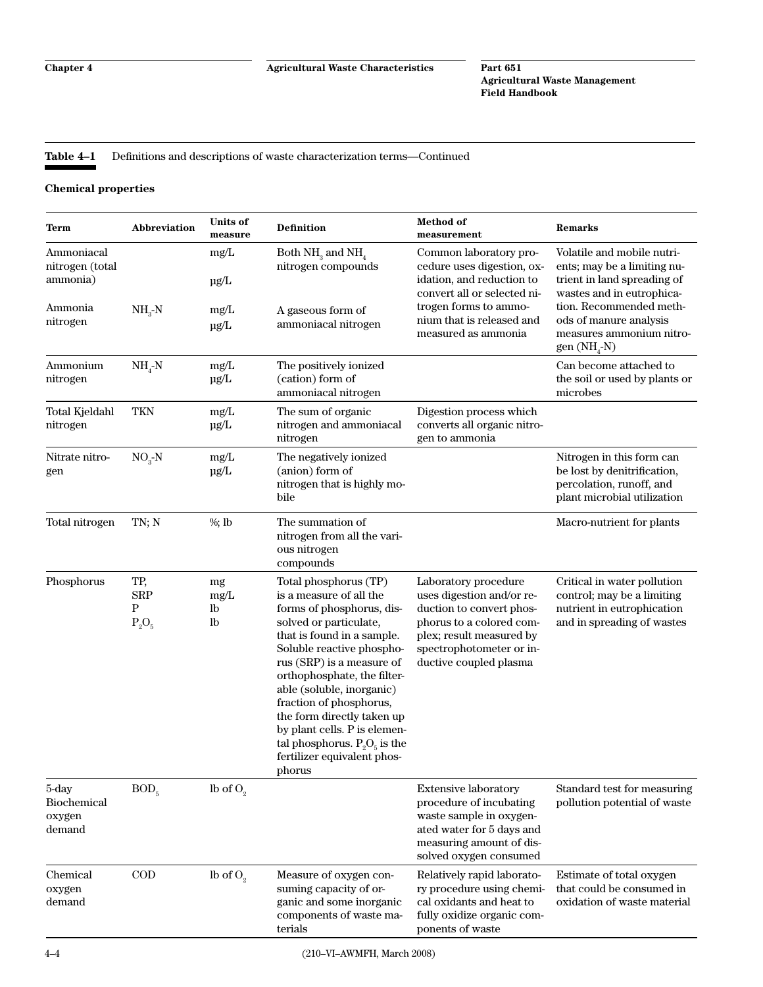#### <span id="page-11-0"></span>**Table 4–1** Definitions and descriptions of waste characterization terms—Continued

#### **Chemical properties**

| Term                                                 | Abbreviation                       | <b>Units of</b><br>measure  | Definition                                                                                                                                                                                                                                                                                                                                                                                                                       | <b>Method</b> of<br>measurement                                                                                                                                                             | Remarks                                                                                                                                          |
|------------------------------------------------------|------------------------------------|-----------------------------|----------------------------------------------------------------------------------------------------------------------------------------------------------------------------------------------------------------------------------------------------------------------------------------------------------------------------------------------------------------------------------------------------------------------------------|---------------------------------------------------------------------------------------------------------------------------------------------------------------------------------------------|--------------------------------------------------------------------------------------------------------------------------------------------------|
| Ammoniacal<br>nitrogen (total<br>ammonia)<br>Ammonia | $NH_{3}-N$                         | $mg/L$<br>$\mu$ g/L<br>mg/L | Both $NH3$ and $NH4$<br>nitrogen compounds<br>A gaseous form of                                                                                                                                                                                                                                                                                                                                                                  | Common laboratory pro-<br>cedure uses digestion, ox-<br>idation, and reduction to<br>convert all or selected ni-<br>trogen forms to ammo-                                                   | Volatile and mobile nutri-<br>ents; may be a limiting nu-<br>trient in land spreading of<br>wastes and in eutrophica-<br>tion. Recommended meth- |
| nitrogen                                             |                                    | $\mu$ g/L                   | ammoniacal nitrogen                                                                                                                                                                                                                                                                                                                                                                                                              | nium that is released and<br>measured as ammonia                                                                                                                                            | ods of manure analysis<br>measures ammonium nitro-<br>gen $(NH_A-N)$                                                                             |
| Ammonium<br>nitrogen                                 | $NH_{4}-N$                         | mg/L<br>µg/L                | The positively ionized<br>(cation) form of<br>ammoniacal nitrogen                                                                                                                                                                                                                                                                                                                                                                |                                                                                                                                                                                             | Can become attached to<br>the soil or used by plants or<br>microbes                                                                              |
| Total Kjeldahl<br>nitrogen                           | <b>TKN</b>                         | mg/L<br>µg/L                | The sum of organic<br>nitrogen and ammoniacal<br>nitrogen                                                                                                                                                                                                                                                                                                                                                                        | Digestion process which<br>converts all organic nitro-<br>gen to ammonia                                                                                                                    |                                                                                                                                                  |
| Nitrate nitro-<br>gen                                | $NO3-N$                            | mg/L<br>µg/L                | The negatively ionized<br>(anion) form of<br>nitrogen that is highly mo-<br>bile                                                                                                                                                                                                                                                                                                                                                 |                                                                                                                                                                                             | Nitrogen in this form can<br>be lost by denitrification,<br>percolation, runoff, and<br>plant microbial utilization                              |
| Total nitrogen                                       | TN; N                              | $%$ ; lb                    | The summation of<br>nitrogen from all the vari-<br>ous nitrogen<br>compounds                                                                                                                                                                                                                                                                                                                                                     |                                                                                                                                                                                             | Macro-nutrient for plants                                                                                                                        |
| Phosphorus                                           | TP,<br><b>SRP</b><br>P<br>$P_2O_5$ | mg<br>mg/L<br>lb<br>lb      | Total phosphorus (TP)<br>is a measure of all the<br>forms of phosphorus, dis-<br>solved or particulate,<br>that is found in a sample.<br>Soluble reactive phospho-<br>rus (SRP) is a measure of<br>orthophosphate, the filter-<br>able (soluble, inorganic)<br>fraction of phosphorus,<br>the form directly taken up<br>by plant cells. P is elemen-<br>tal phosphorus. $P_2O_5$ is the<br>fertilizer equivalent phos-<br>phorus | Laboratory procedure<br>uses digestion and/or re-<br>duction to convert phos-<br>phorus to a colored com-<br>plex; result measured by<br>spectrophotometer or in-<br>ductive coupled plasma | Critical in water pollution<br>control; may be a limiting<br>nutrient in eutrophication<br>and in spreading of wastes                            |
| 5-day<br>Biochemical<br>oxygen<br>demand             | BOD <sub>5</sub>                   | lb of $O2$                  |                                                                                                                                                                                                                                                                                                                                                                                                                                  | <b>Extensive laboratory</b><br>procedure of incubating<br>waste sample in oxygen-<br>ated water for 5 days and<br>measuring amount of dis-<br>solved oxygen consumed                        | Standard test for measuring<br>pollution potential of waste                                                                                      |
| Chemical<br>oxygen<br>demand                         | $\rm{COD}$                         | lb of $O_2$                 | Measure of oxygen con-<br>suming capacity of or-<br>ganic and some inorganic<br>components of waste ma-<br>terials                                                                                                                                                                                                                                                                                                               | Relatively rapid laborato-<br>ry procedure using chemi-<br>cal oxidants and heat to<br>fully oxidize organic com-<br>ponents of waste                                                       | Estimate of total oxygen<br>that could be consumed in<br>oxidation of waste material                                                             |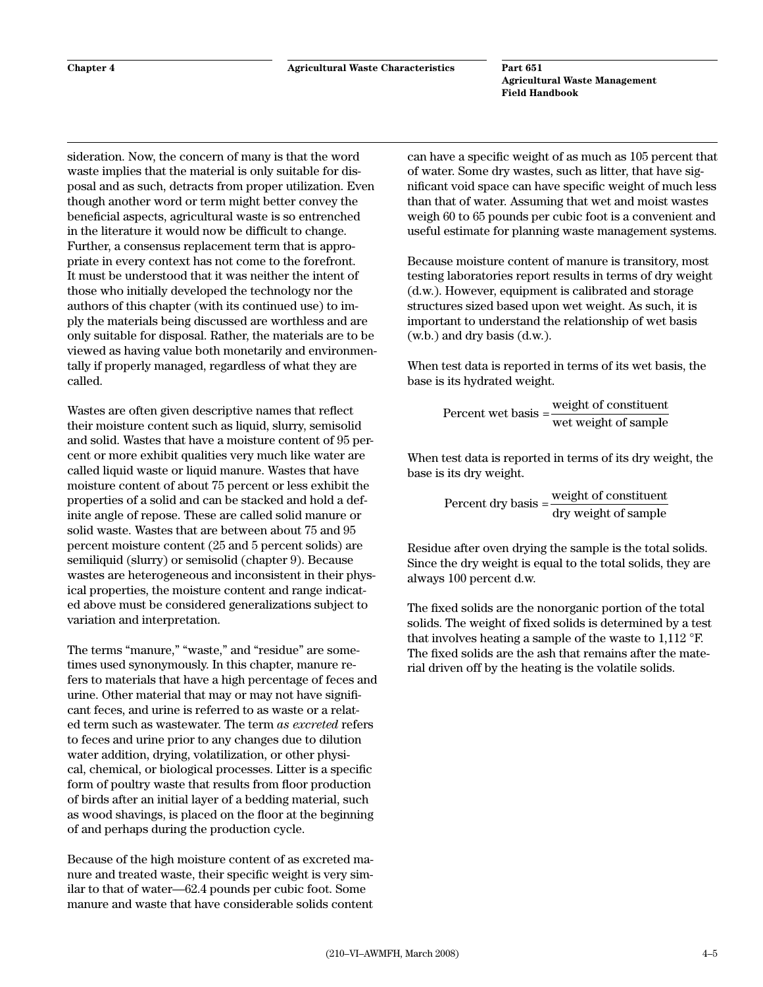<span id="page-12-0"></span>sideration. Now, the concern of many is that the word waste implies that the material is only suitable for disposal and as such, detracts from proper utilization. Even though another word or term might better convey the beneficial aspects, agricultural waste is so entrenched in the literature it would now be difficult to change. Further, a consensus replacement term that is appropriate in every context has not come to the forefront. It must be understood that it was neither the intent of those who initially developed the technology nor the authors of this chapter (with its continued use) to imply the materials being discussed are worthless and are only suitable for disposal. Rather, the materials are to be viewed as having value both monetarily and environmentally if properly managed, regardless of what they are called.

Wastes are often given descriptive names that reflect their moisture content such as liquid, slurry, semisolid and solid. Wastes that have a moisture content of 95 percent or more exhibit qualities very much like water are called liquid waste or liquid manure. Wastes that have moisture content of about 75 percent or less exhibit the properties of a solid and can be stacked and hold a definite angle of repose. These are called solid manure or solid waste. Wastes that are between about 75 and 95 percent moisture content (25 and 5 percent solids) are semiliquid (slurry) or semisolid (chapter 9). Because wastes are heterogeneous and inconsistent in their physical properties, the moisture content and range indicated above must be considered generalizations subject to variation and interpretation.

The terms "manure," "waste," and "residue" are sometimes used synonymously. In this chapter, manure refers to materials that have a high percentage of feces and urine. Other material that may or may not have significant feces, and urine is referred to as waste or a related term such as wastewater. The term *as excreted* refers to feces and urine prior to any changes due to dilution water addition, drying, volatilization, or other physical, chemical, or biological processes. Litter is a specific form of poultry waste that results from floor production of birds after an initial layer of a bedding material, such as wood shavings, is placed on the floor at the beginning of and perhaps during the production cycle.

Because of the high moisture content of as excreted manure and treated waste, their specific weight is very similar to that of water—62.4 pounds per cubic foot. Some manure and waste that have considerable solids content can have a specific weight of as much as 105 percent that of water. Some dry wastes, such as litter, that have significant void space can have specific weight of much less than that of water. Assuming that wet and moist wastes weigh 60 to 65 pounds per cubic foot is a convenient and useful estimate for planning waste management systems.

Because moisture content of manure is transitory, most testing laboratories report results in terms of dry weight (d.w.). However, equipment is calibrated and storage structures sized based upon wet weight. As such, it is important to understand the relationship of wet basis (w.b.) and dry basis (d.w.).

When test data is reported in terms of its wet basis, the base is its hydrated weight.

Percent wet basis  $=$   $\frac{\text{weight of constituent}}{\text{wet weight of sample}}$ 

When test data is reported in terms of its dry weight, the base is its dry weight.

Percent dry basis  $=$   $\frac{\text{weight of constituent}}{\text{dry weight of sample}}$ 

Residue after oven drying the sample is the total solids. Since the dry weight is equal to the total solids, they are always 100 percent d.w.

The fixed solids are the nonorganic portion of the total solids. The weight of fixed solids is determined by a test that involves heating a sample of the waste to 1,112 °F. The fixed solids are the ash that remains after the material driven off by the heating is the volatile solids.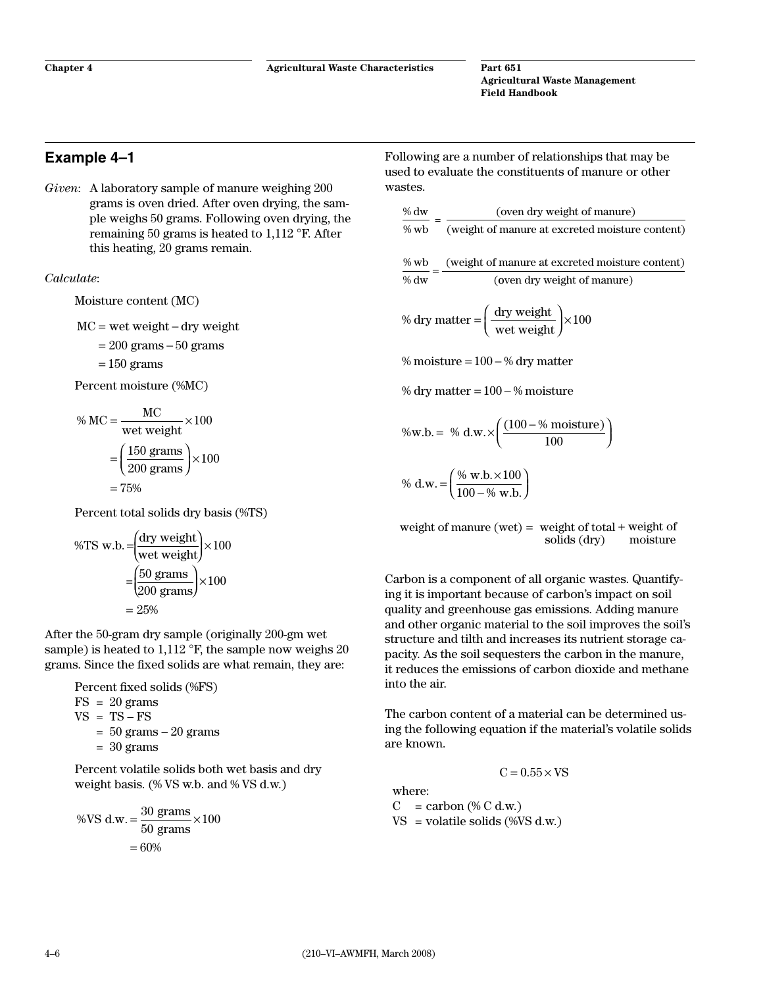## <span id="page-13-0"></span>**Example 4–1**

*Given*: A laboratory sample of manure weighing 200 grams is oven dried. After oven drying, the sample weighs 50 grams. Following oven drying, the remaining 50 grams is heated to 1,112 °F. After this heating, 20 grams remain.

#### *Calculate*:

Moisture content (MC)

$$
MC = wet weight - dry weight
$$

 $= 200$  grams  $-50$  grams

$$
= 150
$$
 grams

Percent moisture (%MC)

$$
\% MC = \frac{MC}{wet weight} \times 100
$$

$$
= \left(\frac{150 \text{ grams}}{200 \text{ grams}}\right) \times 100
$$

$$
= 75\%
$$

Percent total solids dry basis (%TS)

$$
\%TS \text{ w.b.} = \frac{\text{(dry weight)}}{\text{wet weight}} \times 100
$$

$$
= \frac{\left(50 \text{ grams}}{200 \text{ grams}} \right) \times 100
$$

$$
= 25\%
$$

After the 50-gram dry sample (originally 200-gm wet sample) is heated to 1,112 °F, the sample now weighs 20 grams. Since the fixed solids are what remain, they are:

Percent fixed solids (%FS)  $FS = 20$  grams  $VS = TS - FS$  $= 50$  grams  $-20$  grams  $= 30$  grams

Percent volatile solids both wet basis and dry weight basis. (% VS w.b. and % VS d.w.)

$$
\% \text{VS d.w.} = \frac{30 \text{ grams}}{50 \text{ grams}} \times 100
$$

$$
= 60\%
$$

Following are a number of relationships that may be used to evaluate the constituents of manure or other wastes.

$$
\frac{\% \text{ dw}}{\% \text{ wb}} = \frac{\text{(oven dry weight of manure)}}{\text{(weight of manure at excreted moisture content)}}
$$
\n
$$
\frac{\% \text{ wb}}{\% \text{ dw}} = \frac{\text{(weight of manure at excreted moisture content)}}{\text{(oven dry weight of manure)}}
$$
\n
$$
\% \text{ dry matter} = \left(\frac{\text{dry weight}}{\text{wet weight}}\right) \times 100
$$

% moisture =  $100 - %$  dry matter

% dry matter  $= 100 - %$  moisture

$$
\%w.b. = \% d.w. \times \left(\frac{(100 - \% \text{ moisture})}{100}\right)
$$

$$
\% d.w. = \left(\frac{\% w.b. \times 100}{100 - \% w.b.}\right)
$$

weight of manure (wet) = weight of total + weight of<br>solids (dry) moisture  $solids (dry)$ 

Carbon is a component of all organic wastes. Quantifying it is important because of carbon's impact on soil quality and greenhouse gas emissions. Adding manure and other organic material to the soil improves the soil's structure and tilth and increases its nutrient storage capacity. As the soil sequesters the carbon in the manure, it reduces the emissions of carbon dioxide and methane into the air.

The carbon content of a material can be determined using the following equation if the material's volatile solids are known.

$$
C = 0.55 \times VS
$$

where:  $C = \text{carbon } (\% C \text{ d.w.})$  $VS =$  volatile solids (%VS d.w.)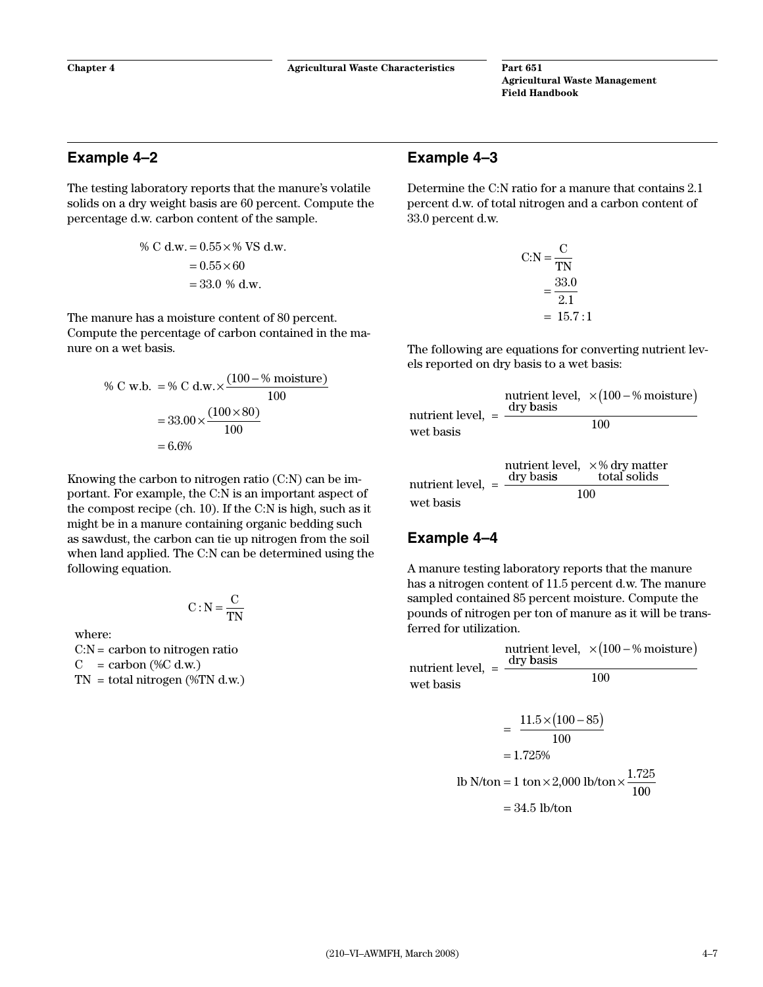## <span id="page-14-0"></span>**Example 4–2**

The testing laboratory reports that the manure's volatile solids on a dry weight basis are 60 percent. Compute the percentage d.w. carbon content of the sample.

% C d.w. = 
$$
0.55 \times \%
$$
 VS d.w.  
=  $0.55 \times 60$   
= 33.0 % d.w.

The manure has a moisture content of 80 percent. Compute the percentage of carbon contained in the manure on a wet basis.

% C w.b. = % C d.w. × 
$$
\frac{(100 - % \text{ moisture})}{100}
$$
  
= 33.00 ×  $\frac{(100 \times 80)}{100}$   
= 6.6%

Knowing the carbon to nitrogen ratio (C:N) can be important. For example, the C:N is an important aspect of the compost recipe (ch. 10). If the C:N is high, such as it might be in a manure containing organic bedding such as sawdust, the carbon can tie up nitrogen from the soil when land applied. The C:N can be determined using the following equation.

$$
C:N=\frac{C}{TN}
$$

where:

 $C:N =$  carbon to nitrogen ratio  $C = \text{carbon } (\%C \text{ d.w.})$  $TN = total nitrogen$  (%TN d.w.)

## **Example 4–3**

Determine the C:N ratio for a manure that contains 2.1 percent d.w. of total nitrogen and a carbon content of 33.0 percent d.w.

$$
C:N = \frac{C}{TN}
$$

$$
= \frac{33.0}{2.1}
$$

$$
= 15.7:1
$$

The following are equations for converting nutrient levels reported on dry basis to a wet basis:

| nutrient level, $=$ $\overline{-}$ | dry basis | nutrient level, $\times(100-\% \text{ moisture})$ |
|------------------------------------|-----------|---------------------------------------------------|
| wet basis                          |           | 100                                               |

|                     | dry basis | nutrient level, $\times$ % dry matter<br>total solids |
|---------------------|-----------|-------------------------------------------------------|
| nutrient level, $=$ |           | 100                                                   |
| wet basis           |           |                                                       |

## **Example 4–4**

A manure testing laboratory reports that the manure has a nitrogen content of 11.5 percent d.w. The manure sampled contained 85 percent moisture. Compute the pounds of nitrogen per ton of manure as it will be transferred for utilization.

nutrient level, = nutrient level,  $\times$ (100 – % moisture)<br>dry basis dry basis 100 wet basis 100  $=\frac{11.5\times(100-85)}{100}$  $= 1.725%$ N/ton = 1 ton  $\times$  2,000 lb/ton  $\times \frac{1.725}{1.28}$ lb N/ton = 1 ton  $\times$  2,000 lb/ton  $\times \frac{1.128}{100}$ 100

$$
= 34.5
$$
 lb/ton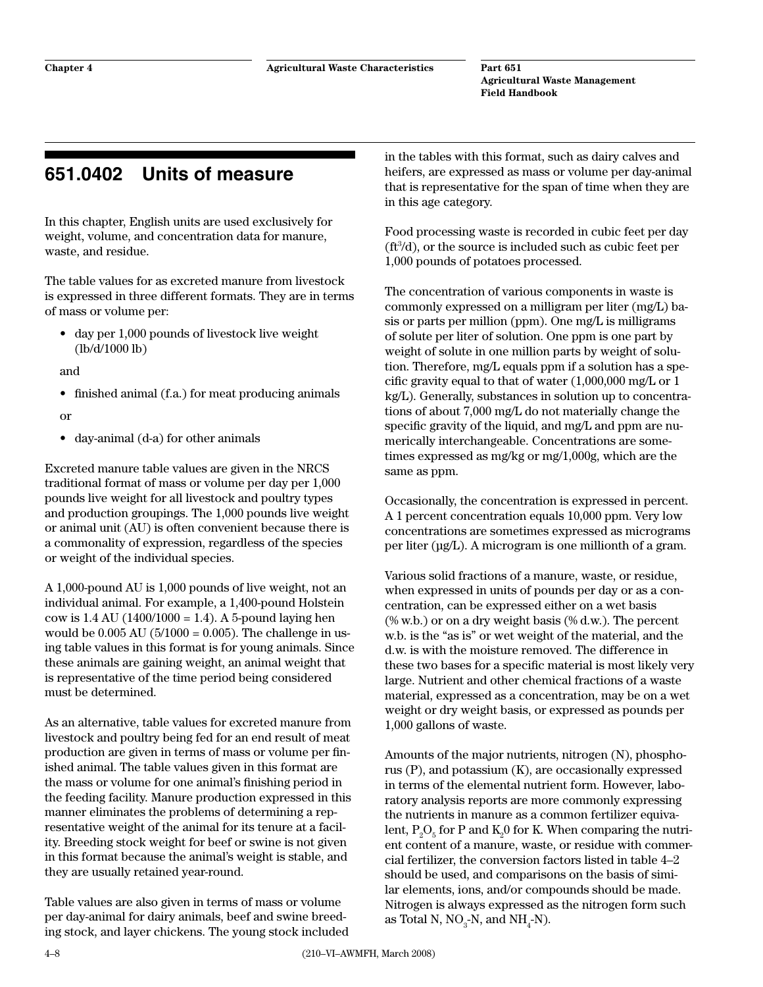# <span id="page-15-0"></span>**651.0402 Units of measure**

In this chapter, English units are used exclusively for weight, volume, and concentration data for manure, waste, and residue.

The table values for as excreted manure from livestock is expressed in three different formats. They are in terms of mass or volume per:

• day per 1,000 pounds of livestock live weight (lb/d/1000 lb)

and

- finished animal (f.a.) for meat producing animals
- or
- • day-animal (d-a) for other animals

Excreted manure table values are given in the NRCS traditional format of mass or volume per day per 1,000 pounds live weight for all livestock and poultry types and production groupings. The 1,000 pounds live weight or animal unit (AU) is often convenient because there is a commonality of expression, regardless of the species or weight of the individual species.

A 1,000-pound AU is 1,000 pounds of live weight, not an individual animal. For example, a 1,400-pound Holstein cow is 1.4 AU (1400/1000 = 1.4). A 5-pound laying hen would be  $0.005 \text{ AU}$  (5/1000 = 0.005). The challenge in using table values in this format is for young animals. Since these animals are gaining weight, an animal weight that is representative of the time period being considered must be determined.

As an alternative, table values for excreted manure from livestock and poultry being fed for an end result of meat production are given in terms of mass or volume per finished animal. The table values given in this format are the mass or volume for one animal's finishing period in the feeding facility. Manure production expressed in this manner eliminates the problems of determining a representative weight of the animal for its tenure at a facility. Breeding stock weight for beef or swine is not given in this format because the animal's weight is stable, and they are usually retained year-round.

Table values are also given in terms of mass or volume per day-animal for dairy animals, beef and swine breeding stock, and layer chickens. The young stock included in the tables with this format, such as dairy calves and heifers, are expressed as mass or volume per day-animal that is representative for the span of time when they are in this age category.

Food processing waste is recorded in cubic feet per day  $(ft<sup>3</sup>/d)$ , or the source is included such as cubic feet per 1,000 pounds of potatoes processed.

The concentration of various components in waste is commonly expressed on a milligram per liter (mg/L) basis or parts per million (ppm). One mg/L is milligrams of solute per liter of solution. One ppm is one part by weight of solute in one million parts by weight of solution. Therefore, mg/L equals ppm if a solution has a specific gravity equal to that of water (1,000,000 mg/L or 1 kg/L). Generally, substances in solution up to concentrations of about 7,000 mg/L do not materially change the specific gravity of the liquid, and mg/L and ppm are numerically interchangeable. Concentrations are sometimes expressed as mg/kg or mg/1,000g, which are the same as ppm.

Occasionally, the concentration is expressed in percent. A 1 percent concentration equals 10,000 ppm. Very low concentrations are sometimes expressed as micrograms per liter (µg/L). A microgram is one millionth of a gram.

Various solid fractions of a manure, waste, or residue, when expressed in units of pounds per day or as a concentration, can be expressed either on a wet basis (% w.b.) or on a dry weight basis (% d.w.). The percent w.b. is the "as is" or wet weight of the material, and the d.w. is with the moisture removed. The difference in these two bases for a specific material is most likely very large. Nutrient and other chemical fractions of a waste material, expressed as a concentration, may be on a wet weight or dry weight basis, or expressed as pounds per 1,000 gallons of waste.

Amounts of the major nutrients, nitrogen (N), phosphorus (P), and potassium (K), are occasionally expressed in terms of the elemental nutrient form. However, laboratory analysis reports are more commonly expressing the nutrients in manure as a common fertilizer equivalent,  $P_2O_5$  for P and  $K_2O$  for K. When comparing the nutrient content of a manure, waste, or residue with commercial fertilizer, the conversion factors listed in table 4–2 should be used, and comparisons on the basis of similar elements, ions, and/or compounds should be made. Nitrogen is always expressed as the nitrogen form such as Total N,  $NO_3$ -N, and  $NH_4$ -N).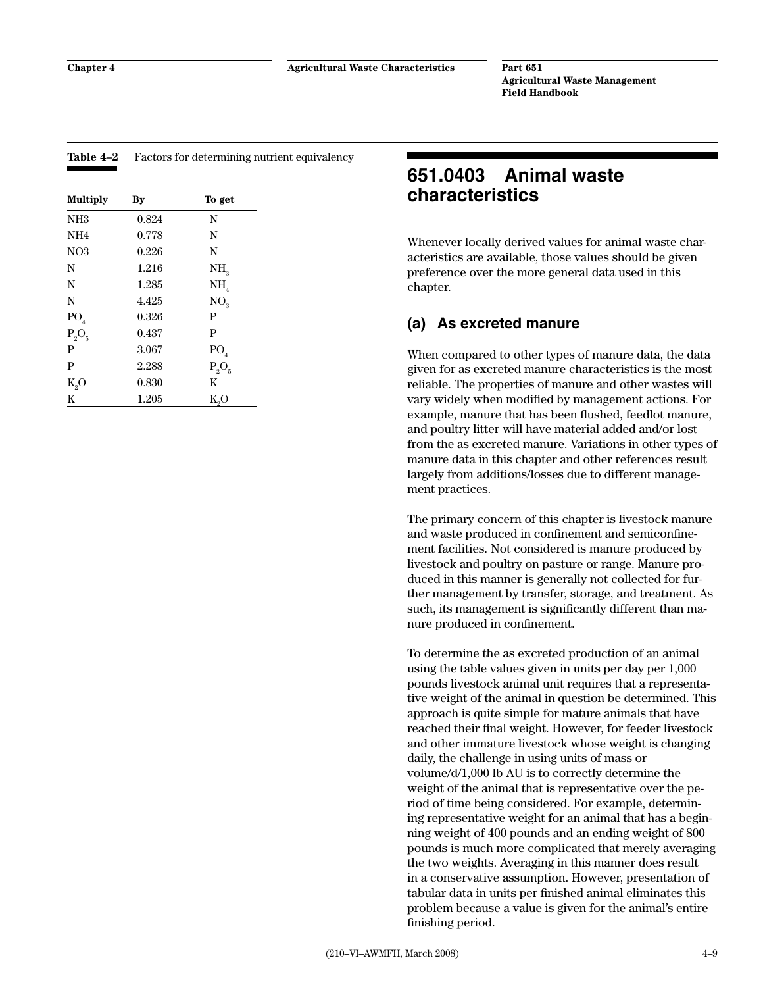| <b>Multiply</b> | By    | To get          |
|-----------------|-------|-----------------|
| NH <sub>3</sub> | 0.824 | N               |
| NH <sub>4</sub> | 0.778 | N               |
| NO3             | 0.226 | N               |
| N               | 1.216 | NH <sub>3</sub> |
| N               | 1.285 | NH <sub>4</sub> |
| N               | 4.425 | NO <sub>3</sub> |
| $\mathrm{PO}_4$ | 0.326 | P               |
| $P_2O_5$        | 0.437 | P               |
| P               | 3.067 | PO <sub>4</sub> |
| P               | 2.288 | $P_2O_5$        |
| $K_2O$          | 0.830 | K               |
| K               | 1.205 | $K_0$ O         |

#### <span id="page-16-0"></span>**Table 4–2** Factors for determining nutrient equivalency

# **651.0403 Animal waste characteristics**

Whenever locally derived values for animal waste characteristics are available, those values should be given preference over the more general data used in this chapter.

### **(a) As excreted manure**

When compared to other types of manure data, the data given for as excreted manure characteristics is the most reliable. The properties of manure and other wastes will vary widely when modified by management actions. For example, manure that has been flushed, feedlot manure, and poultry litter will have material added and/or lost from the as excreted manure. Variations in other types of manure data in this chapter and other references result largely from additions/losses due to different management practices.

The primary concern of this chapter is livestock manure and waste produced in confinement and semiconfinement facilities. Not considered is manure produced by livestock and poultry on pasture or range. Manure produced in this manner is generally not collected for further management by transfer, storage, and treatment. As such, its management is significantly different than manure produced in confinement.

To determine the as excreted production of an animal using the table values given in units per day per 1,000 pounds livestock animal unit requires that a representative weight of the animal in question be determined. This approach is quite simple for mature animals that have reached their final weight. However, for feeder livestock and other immature livestock whose weight is changing daily, the challenge in using units of mass or volume/d/1,000 lb AU is to correctly determine the weight of the animal that is representative over the period of time being considered. For example, determining representative weight for an animal that has a beginning weight of 400 pounds and an ending weight of 800 pounds is much more complicated that merely averaging the two weights. Averaging in this manner does result in a conservative assumption. However, presentation of tabular data in units per finished animal eliminates this problem because a value is given for the animal's entire finishing period.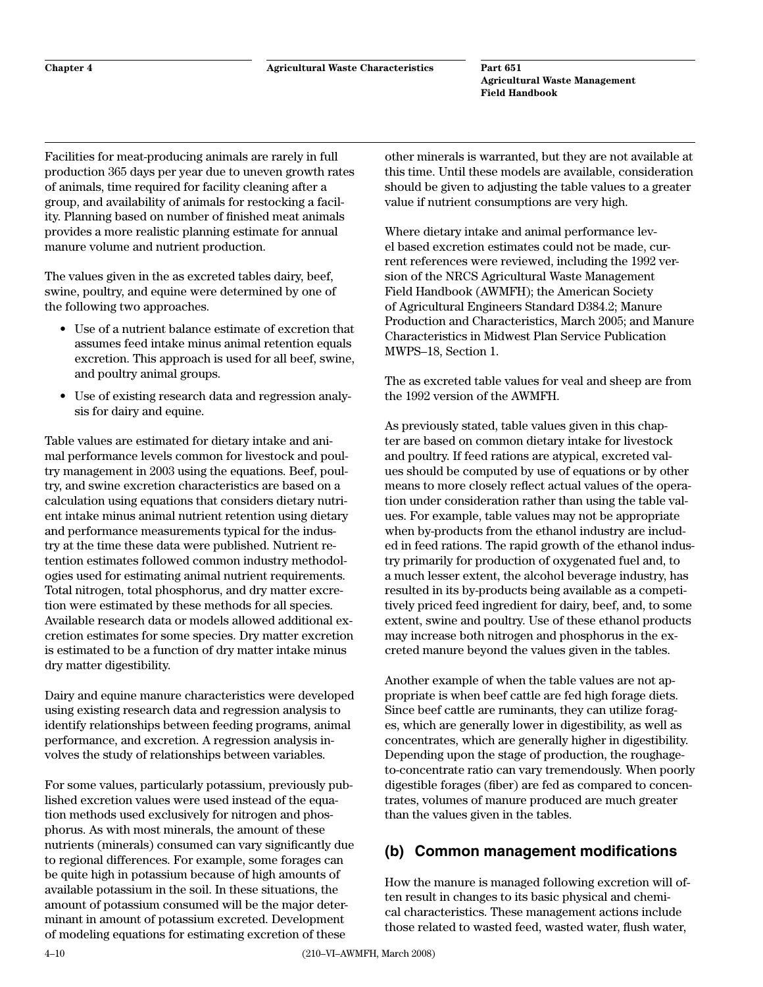<span id="page-17-0"></span>Facilities for meat-producing animals are rarely in full production 365 days per year due to uneven growth rates of animals, time required for facility cleaning after a group, and availability of animals for restocking a facility. Planning based on number of finished meat animals provides a more realistic planning estimate for annual manure volume and nutrient production.

The values given in the as excreted tables dairy, beef, swine, poultry, and equine were determined by one of the following two approaches.

- Use of a nutrient balance estimate of excretion that assumes feed intake minus animal retention equals excretion. This approach is used for all beef, swine, and poultry animal groups.
- Use of existing research data and regression analysis for dairy and equine.

Table values are estimated for dietary intake and animal performance levels common for livestock and poultry management in 2003 using the equations. Beef, poultry, and swine excretion characteristics are based on a calculation using equations that considers dietary nutrient intake minus animal nutrient retention using dietary and performance measurements typical for the industry at the time these data were published. Nutrient retention estimates followed common industry methodologies used for estimating animal nutrient requirements. Total nitrogen, total phosphorus, and dry matter excretion were estimated by these methods for all species. Available research data or models allowed additional excretion estimates for some species. Dry matter excretion is estimated to be a function of dry matter intake minus dry matter digestibility.

Dairy and equine manure characteristics were developed using existing research data and regression analysis to identify relationships between feeding programs, animal performance, and excretion. A regression analysis involves the study of relationships between variables.

For some values, particularly potassium, previously published excretion values were used instead of the equation methods used exclusively for nitrogen and phosphorus. As with most minerals, the amount of these nutrients (minerals) consumed can vary significantly due to regional differences. For example, some forages can be quite high in potassium because of high amounts of available potassium in the soil. In these situations, the amount of potassium consumed will be the major determinant in amount of potassium excreted. Development of modeling equations for estimating excretion of these

other minerals is warranted, but they are not available at this time. Until these models are available, consideration should be given to adjusting the table values to a greater value if nutrient consumptions are very high.

Where dietary intake and animal performance level based excretion estimates could not be made, current references were reviewed, including the 1992 version of the NRCS Agricultural Waste Management Field Handbook (AWMFH); the American Society of Agricultural Engineers Standard D384.2; Manure Production and Characteristics, March 2005; and Manure Characteristics in Midwest Plan Service Publication MWPS–18, Section 1.

The as excreted table values for veal and sheep are from the 1992 version of the AWMFH.

As previously stated, table values given in this chapter are based on common dietary intake for livestock and poultry. If feed rations are atypical, excreted values should be computed by use of equations or by other means to more closely reflect actual values of the operation under consideration rather than using the table values. For example, table values may not be appropriate when by-products from the ethanol industry are included in feed rations. The rapid growth of the ethanol industry primarily for production of oxygenated fuel and, to a much lesser extent, the alcohol beverage industry, has resulted in its by-products being available as a competitively priced feed ingredient for dairy, beef, and, to some extent, swine and poultry. Use of these ethanol products may increase both nitrogen and phosphorus in the excreted manure beyond the values given in the tables.

Another example of when the table values are not appropriate is when beef cattle are fed high forage diets. Since beef cattle are ruminants, they can utilize forages, which are generally lower in digestibility, as well as concentrates, which are generally higher in digestibility. Depending upon the stage of production, the roughageto-concentrate ratio can vary tremendously. When poorly digestible forages (fiber) are fed as compared to concentrates, volumes of manure produced are much greater than the values given in the tables.

# **(b) Common management modifications**

How the manure is managed following excretion will often result in changes to its basic physical and chemical characteristics. These management actions include those related to wasted feed, wasted water, flush water,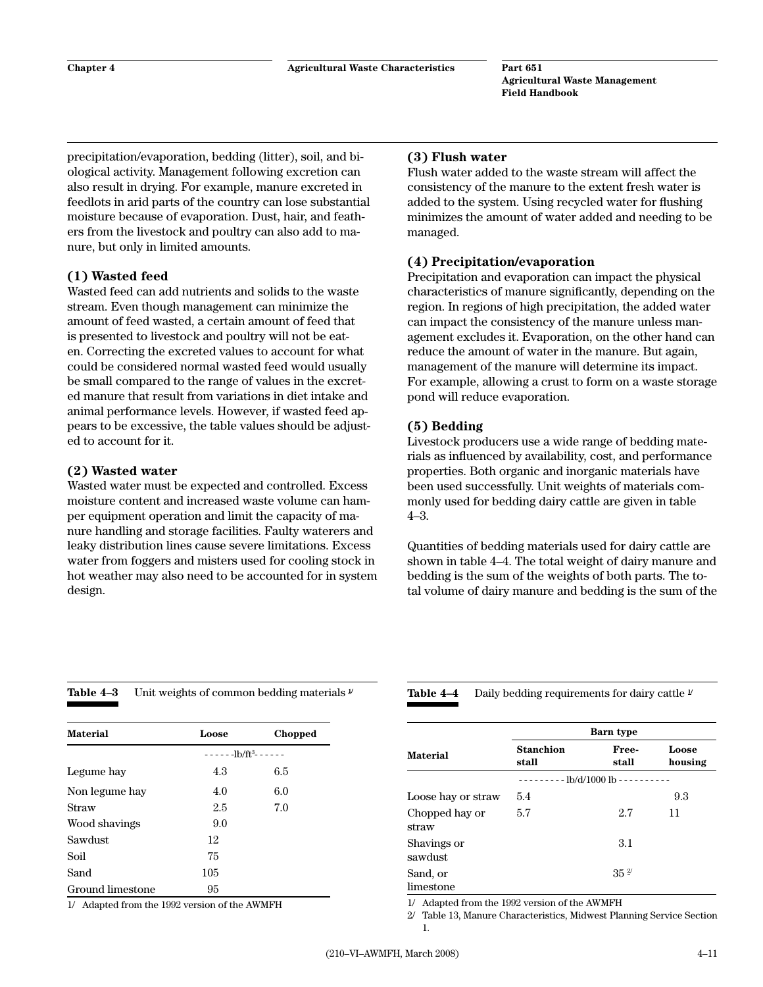<span id="page-18-0"></span>precipitation/evaporation, bedding (litter), soil, and biological activity. Management following excretion can also result in drying. For example, manure excreted in feedlots in arid parts of the country can lose substantial moisture because of evaporation. Dust, hair, and feathers from the livestock and poultry can also add to manure, but only in limited amounts.

#### **(1) Wasted feed**

Wasted feed can add nutrients and solids to the waste stream. Even though management can minimize the amount of feed wasted, a certain amount of feed that is presented to livestock and poultry will not be eaten. Correcting the excreted values to account for what could be considered normal wasted feed would usually be small compared to the range of values in the excreted manure that result from variations in diet intake and animal performance levels. However, if wasted feed appears to be excessive, the table values should be adjusted to account for it.

#### **(2) Wasted water**

Wasted water must be expected and controlled. Excess moisture content and increased waste volume can hamper equipment operation and limit the capacity of manure handling and storage facilities. Faulty waterers and leaky distribution lines cause severe limitations. Excess water from foggers and misters used for cooling stock in hot weather may also need to be accounted for in system design.

#### **(3) Flush water**

Flush water added to the waste stream will affect the consistency of the manure to the extent fresh water is added to the system. Using recycled water for flushing minimizes the amount of water added and needing to be managed.

#### **(4) Precipitation/evaporation**

Precipitation and evaporation can impact the physical characteristics of manure significantly, depending on the region. In regions of high precipitation, the added water can impact the consistency of the manure unless management excludes it. Evaporation, on the other hand can reduce the amount of water in the manure. But again, management of the manure will determine its impact. For example, allowing a crust to form on a waste storage pond will reduce evaporation.

#### **(5) Bedding**

Livestock producers use a wide range of bedding materials as influenced by availability, cost, and performance properties. Both organic and inorganic materials have been used successfully. Unit weights of materials commonly used for bedding dairy cattle are given in table 4–3.

Quantities of bedding materials used for dairy cattle are shown in table 4–4. The total weight of dairy manure and bedding is the sum of the weights of both parts. The total volume of dairy manure and bedding is the sum of the

| Table 4–3 |  | Unit weights of common bedding materials $\nu$ |
|-----------|--|------------------------------------------------|
|-----------|--|------------------------------------------------|

| <b>Material</b>  | Loose          | Chopped |
|------------------|----------------|---------|
|                  | $---1b/ft3---$ |         |
| Legume hay       | 4.3            | 6.5     |
| Non legume hay   | 4.0            | 6.0     |
| Straw            | 2.5            | 7.0     |
| Wood shavings    | 9.0            |         |
| <b>Sawdust</b>   | 12             |         |
| Soil             | 75             |         |
| Sand             | 105            |         |
| Ground limestone | 95             |         |

1/ Adapted from the 1992 version of the AWMFH

**Table 4–4** Daily bedding requirements for dairy cattle **1/**

|                         | Barn type                        |                 |                  |  |
|-------------------------|----------------------------------|-----------------|------------------|--|
| <b>Material</b>         | <b>Stanchion</b><br>stall        | Free-<br>stall  | Loose<br>housing |  |
|                         | -------- lb/d/1000 lb ---------- |                 |                  |  |
| Loose hay or straw      | 5.4                              |                 | 9.3              |  |
| Chopped hay or<br>straw | 5.7                              | 2.7             | 11               |  |
| Shavings or<br>sawdust  |                                  | 3.1             |                  |  |
| Sand, or<br>limestone   |                                  | 35 <sup>2</sup> |                  |  |

1/ Adapted from the 1992 version of the AWMFH

2/ Table 13, Manure Characteristics, Midwest Planning Service Section 1.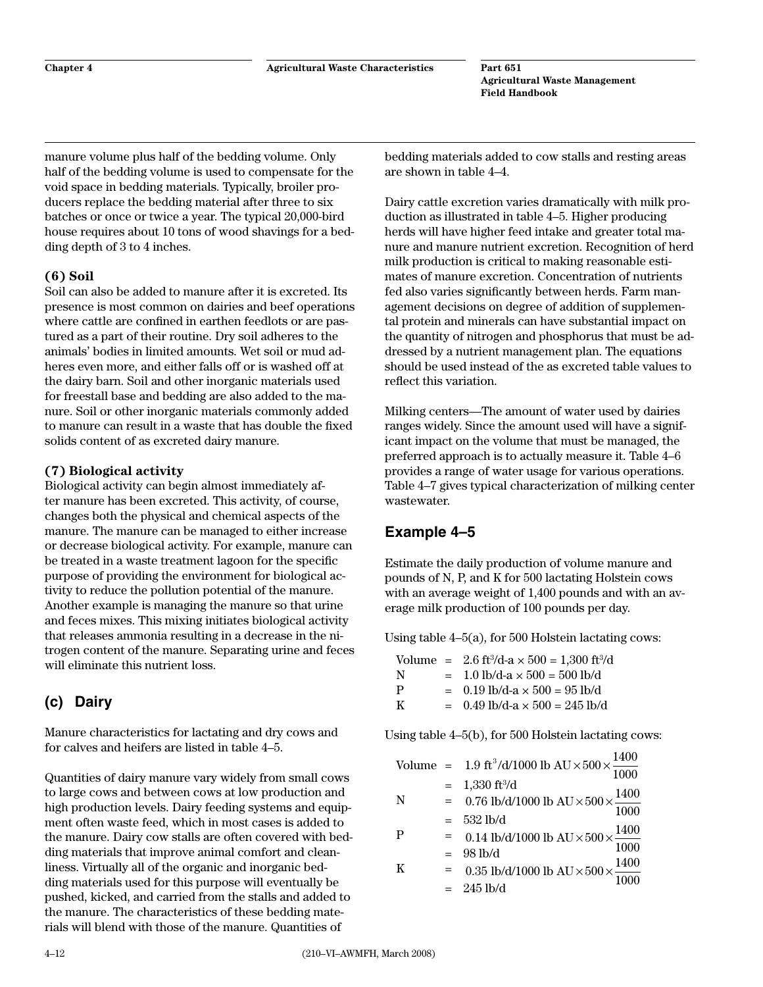<span id="page-19-0"></span>manure volume plus half of the bedding volume. Only half of the bedding volume is used to compensate for the void space in bedding materials. Typically, broiler producers replace the bedding material after three to six batches or once or twice a year. The typical 20,000-bird house requires about 10 tons of wood shavings for a bedding depth of 3 to 4 inches.

### **(6) Soil**

Soil can also be added to manure after it is excreted. Its presence is most common on dairies and beef operations where cattle are confined in earthen feedlots or are pastured as a part of their routine. Dry soil adheres to the animals' bodies in limited amounts. Wet soil or mud adheres even more, and either falls off or is washed off at the dairy barn. Soil and other inorganic materials used for freestall base and bedding are also added to the manure. Soil or other inorganic materials commonly added to manure can result in a waste that has double the fixed solids content of as excreted dairy manure.

## **(7) Biological activity**

Biological activity can begin almost immediately after manure has been excreted. This activity, of course, changes both the physical and chemical aspects of the manure. The manure can be managed to either increase or decrease biological activity. For example, manure can be treated in a waste treatment lagoon for the specific purpose of providing the environment for biological activity to reduce the pollution potential of the manure. Another example is managing the manure so that urine and feces mixes. This mixing initiates biological activity that releases ammonia resulting in a decrease in the nitrogen content of the manure. Separating urine and feces will eliminate this nutrient loss.

# **(c) Dairy**

Manure characteristics for lactating and dry cows and for calves and heifers are listed in table 4–5.

Quantities of dairy manure vary widely from small cows to large cows and between cows at low production and high production levels. Dairy feeding systems and equipment often waste feed, which in most cases is added to the manure. Dairy cow stalls are often covered with bedding materials that improve animal comfort and cleanliness. Virtually all of the organic and inorganic bedding materials used for this purpose will eventually be pushed, kicked, and carried from the stalls and added to the manure. The characteristics of these bedding materials will blend with those of the manure. Quantities of

bedding materials added to cow stalls and resting areas are shown in table 4–4.

Dairy cattle excretion varies dramatically with milk production as illustrated in table 4–5. Higher producing herds will have higher feed intake and greater total manure and manure nutrient excretion. Recognition of herd milk production is critical to making reasonable estimates of manure excretion. Concentration of nutrients fed also varies significantly between herds. Farm management decisions on degree of addition of supplemental protein and minerals can have substantial impact on the quantity of nitrogen and phosphorus that must be addressed by a nutrient management plan. The equations should be used instead of the as excreted table values to reflect this variation.

Milking centers—The amount of water used by dairies ranges widely. Since the amount used will have a significant impact on the volume that must be managed, the preferred approach is to actually measure it. Table 4–6 provides a range of water usage for various operations. Table 4–7 gives typical characterization of milking center wastewater.

# **Example 4–5**

Estimate the daily production of volume manure and pounds of N, P, and K for 500 lactating Holstein cows with an average weight of 1,400 pounds and with an average milk production of 100 pounds per day.

Using table 4–5(a), for 500 Holstein lactating cows:

Volume =  $2.6 \text{ ft}^3/\text{d-a} \times 500 = 1,300 \text{ ft}^3/\text{d}$ N  $= 1.0$  lb/d-a  $\times 500 = 500$  lb/d P  $= 0.19$  lb/d-a  $\times 500 = 95$  lb/d K =  $0.49$  lb/d-a  $\times$  500 = 245 lb/d

Using table 4–5(b), for 500 Holstein lactating cows:

|   |     | Volume = 1.9 ft <sup>3</sup> /d/1000 lb AU $\times$ 500 $\times \frac{1400}{1000}$<br>$\overline{1000}$ |
|---|-----|---------------------------------------------------------------------------------------------------------|
|   |     | $= 1,330 \text{ ft}^3/\text{d}$                                                                         |
| N | $=$ | 0.76 lb/d/1000 lb AU $\times$ 500 $\times \frac{1400}{1000}$                                            |
| P | $=$ | 532 lb/d                                                                                                |
|   | $=$ | 0.14 lb/d/1000 lb AU $\times$ 500 $\times \frac{1400}{1000}$<br>$98$ lb/d                               |
| K |     | 98 10/0<br>0.35 lb/d/1000 lb AU $\times$ 500 $\times \frac{1400}{1000}$                                 |
|   |     | $= 245$ lb/d                                                                                            |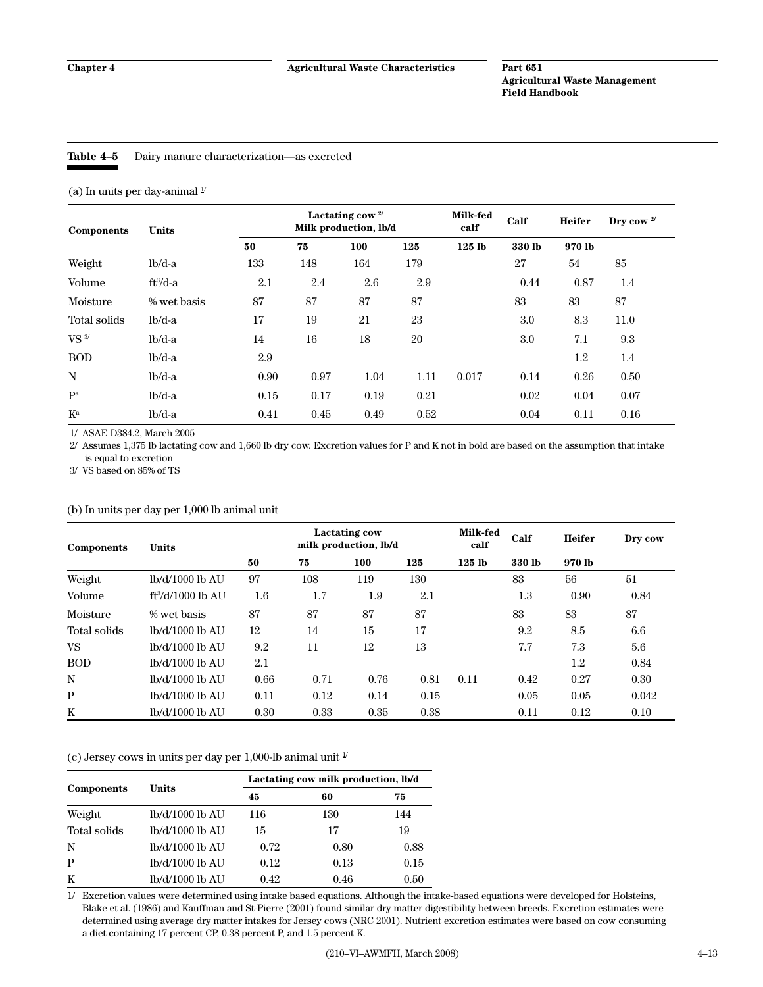#### <span id="page-20-0"></span>**Table 4–5** Dairy manure characterization—as excreted

(a) In units per day-animal  $^{\mathbb{I}\!}$ 

| <b>Components</b>         | <b>Units</b> | Lactating cow $2^{\prime}$<br>Milk production, lb/d |      |      | Milk-fed<br>calf | Calf     | <b>Heifer</b> | Dry cow $\frac{2}{3}$ |      |
|---------------------------|--------------|-----------------------------------------------------|------|------|------------------|----------|---------------|-----------------------|------|
|                           |              | 50                                                  | 75   | 100  | 125              | $125$ lb | 330 lb        | 970 lb                |      |
| Weight                    | $lb/d-a$     | 133                                                 | 148  | 164  | 179              |          | 27            | 54                    | 85   |
| Volume                    | $ft^3/d-a$   | 2.1                                                 | 2.4  | 2.6  | 2.9              |          | 0.44          | 0.87                  | 1.4  |
| Moisture                  | % wet basis  | 87                                                  | 87   | 87   | 87               |          | 83            | 83                    | 87   |
| Total solids              | $lb/d-a$     | 17                                                  | 19   | 21   | 23               |          | 3.0           | 8.3                   | 11.0 |
| $VS$ <sup>3/</sup>        | $lb/d-a$     | 14                                                  | 16   | 18   | 20               |          | $3.0\,$       | 7.1                   | 9.3  |
| <b>BOD</b>                | $lb/d-a$     | 2.9                                                 |      |      |                  |          |               | 1.2                   | 1.4  |
| N                         | $lb/d-a$     | 0.90                                                | 0.97 | 1.04 | 1.11             | 0.017    | 0.14          | 0.26                  | 0.50 |
| P <sup>a</sup>            | $lb/d-a$     | 0.15                                                | 0.17 | 0.19 | 0.21             |          | 0.02          | 0.04                  | 0.07 |
| $\mathbf{K}^{\mathrm{a}}$ | $lb/d-a$     | 0.41                                                | 0.45 | 0.49 | 0.52             |          | 0.04          | 0.11                  | 0.16 |

1/ ASAE D384.2, March 2005

2/ Assumes 1,375 lb lactating cow and 1,660 lb dry cow. Excretion values for P and K not in bold are based on the assumption that intake is equal to excretion

3/ VS based on 85% of TS

#### (b) In units per day per 1,000 lb animal unit

| Components   | <b>Units</b>        | <b>Lactating cow</b><br>milk production, lb/d |      |      | Milk-fed<br>calf | Calf              | <b>Heifer</b> | Dry cow |       |
|--------------|---------------------|-----------------------------------------------|------|------|------------------|-------------------|---------------|---------|-------|
|              |                     | 50                                            | 75   | 100  | 125              | 125 <sub>1b</sub> | 330 lb        | 970 lb  |       |
| Weight       | lb/d/1000 lb AU     | 97                                            | 108  | 119  | 130              |                   | 83            | 56      | 51    |
| Volume       | $ft^3/d/1000$ lb AU | $1.6\,$                                       | 1.7  | 1.9  | 2.1              |                   | $1.3\,$       | 0.90    | 0.84  |
| Moisture     | % wet basis         | 87                                            | 87   | 87   | 87               |                   | 83            | 83      | 87    |
| Total solids | lb/d/1000 lb AU     | 12                                            | 14   | 15   | 17               |                   | 9.2           | 8.5     | 6.6   |
| VS           | lb/d/1000 lb AU     | 9.2                                           | 11   | 12   | 13               |                   | 7.7           | 7.3     | 5.6   |
| <b>BOD</b>   | lb/d/1000 lb AU     | 2.1                                           |      |      |                  |                   |               | 1.2     | 0.84  |
| N            | lb/d/1000 lb AU     | 0.66                                          | 0.71 | 0.76 | 0.81             | 0.11              | 0.42          | 0.27    | 0.30  |
| $\mathbf{P}$ | lb/d/1000 lb AU     | 0.11                                          | 0.12 | 0.14 | 0.15             |                   | 0.05          | 0.05    | 0.042 |
| K            | lb/d/1000 lb AU     | 0.30                                          | 0.33 | 0.35 | 0.38             |                   | 0.11          | 0.12    | 0.10  |

(c) Jersey cows in units per day per 1,000-lb animal unit  $\frac{1}{2}$ 

|              |                 | Lactating cow milk production, lb/d |      |      |  |  |
|--------------|-----------------|-------------------------------------|------|------|--|--|
| Components   | Units           | 45                                  | 60   | 75   |  |  |
| Weight       | lb/d/1000 lb AU | 116                                 | 130  | 144  |  |  |
| Total solids | lb/d/1000 lb AU | 15                                  | 17   | 19   |  |  |
| N            | lb/d/1000 lb AU | 0.72                                | 0.80 | 0.88 |  |  |
| P            | lb/d/1000 lb AU | 0.12                                | 0.13 | 0.15 |  |  |
| K            | lb/d/1000 lb AU | 0.42                                | 0.46 | 0.50 |  |  |

1/ Excretion values were determined using intake based equations. Although the intake-based equations were developed for Holsteins, Blake et al. (1986) and Kauffman and St-Pierre (2001) found similar dry matter digestibility between breeds. Excretion estimates were determined using average dry matter intakes for Jersey cows (NRC 2001). Nutrient excretion estimates were based on cow consuming a diet containing 17 percent CP, 0.38 percent P, and 1.5 percent K.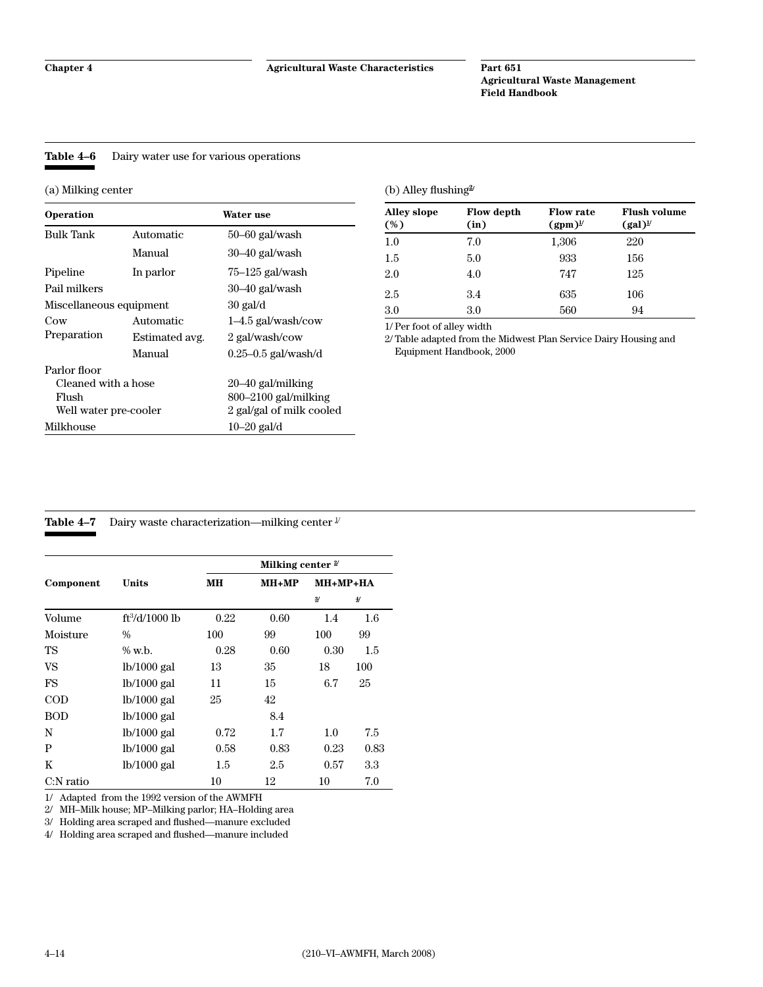#### <span id="page-21-0"></span>**Table 4–6** Dairy water use for various operations

(a) Milking center

| Operation               |                | Water use                |
|-------------------------|----------------|--------------------------|
| <b>Bulk Tank</b>        | Automatic      | $50 - 60$ gal/wash       |
|                         | Manual         | $30-40$ gal/wash         |
| Pipeline                | In parlor      | $75-125$ gal/wash        |
| Pail milkers            |                | $30-40$ gal/wash         |
| Miscellaneous equipment |                | $30$ gal/d               |
| Cow                     | Automatic      | $1-4.5$ gal/wash/cow     |
| Preparation             | Estimated avg. | 2 gal/wash/cow           |
|                         | Manual         | $0.25 - 0.5$ gal/wash/d  |
| Parlor floor            |                |                          |
| Cleaned with a hose     |                | 20–40 gal/milking        |
| Flush                   |                | $800 - 2100$ gal/milking |
| Well water pre-cooler   |                | 2 gal/gal of milk cooled |
| Milkhouse               |                | $10-20$ gal/d            |

#### (b) Alley flushing**2/**

| <b>Alley slope</b><br>(%) | <b>Flow depth</b><br>(in) | <b>Flow rate</b><br>$(gpm)^{\nu}$ | <b>Flush volume</b><br>$(gal)^{\underline{1}}$ |
|---------------------------|---------------------------|-----------------------------------|------------------------------------------------|
| 1.0                       | 7.0                       | 1,306                             | 220                                            |
| 1.5                       | 5.0                       | 933                               | 156                                            |
| 2.0                       | 4.0                       | 747                               | 125                                            |
| 2.5                       | 3.4                       | 635                               | 106                                            |
| 3.0                       | $3.0\,$                   | 560                               | 94                                             |

1/ Per foot of alley width

2/ Table adapted from the Midwest Plan Service Dairy Housing and Equipment Handbook, 2000

#### **Table 4–7** Dairy waste characterization—milking center  $\frac{1}{x}$

|              |                  | Milking center $2$ |         |      |                |  |  |
|--------------|------------------|--------------------|---------|------|----------------|--|--|
| Component    | Units            | MН                 | $MH+MP$ |      | $MH + MP + HA$ |  |  |
|              |                  |                    |         | 3/   | 4/             |  |  |
| Volume       | $ft^3/d/1000$ lb | 0.22               | 0.60    | 1.4  | 1.6            |  |  |
| Moisture     | $\frac{0}{0}$    | 100                | 99      | 100  | 99             |  |  |
| TS           | $\%$ w.b.        | 0.28               | 0.60    | 0.30 | 1.5            |  |  |
| VS           | $lb/1000$ gal    | 13                 | 35      | 18   | 100            |  |  |
| FS           | $lb/1000$ gal    | 11                 | 15      | 6.7  | 25             |  |  |
| $\rm{COD}$   | $lb/1000$ gal    | 25                 | 42      |      |                |  |  |
| <b>BOD</b>   | $lb/1000$ gal    |                    | 8.4     |      |                |  |  |
| N            | $lb/1000$ gal    | 0.72               | 1.7     | 1.0  | 7.5            |  |  |
| P            | $lb/1000$ gal    | 0.58               | 0.83    | 0.23 | 0.83           |  |  |
| K            | $lb/1000$ gal    | 1.5                | 2.5     | 0.57 | 3.3            |  |  |
| $C:$ N ratio |                  | 10                 | 12      | 10   | 7.0            |  |  |

1/ Adapted from the 1992 version of the AWMFH

2/ MH–Milk house; MP–Milking parlor; HA–Holding area

3/ Holding area scraped and flushed—manure excluded

4/ Holding area scraped and flushed—manure included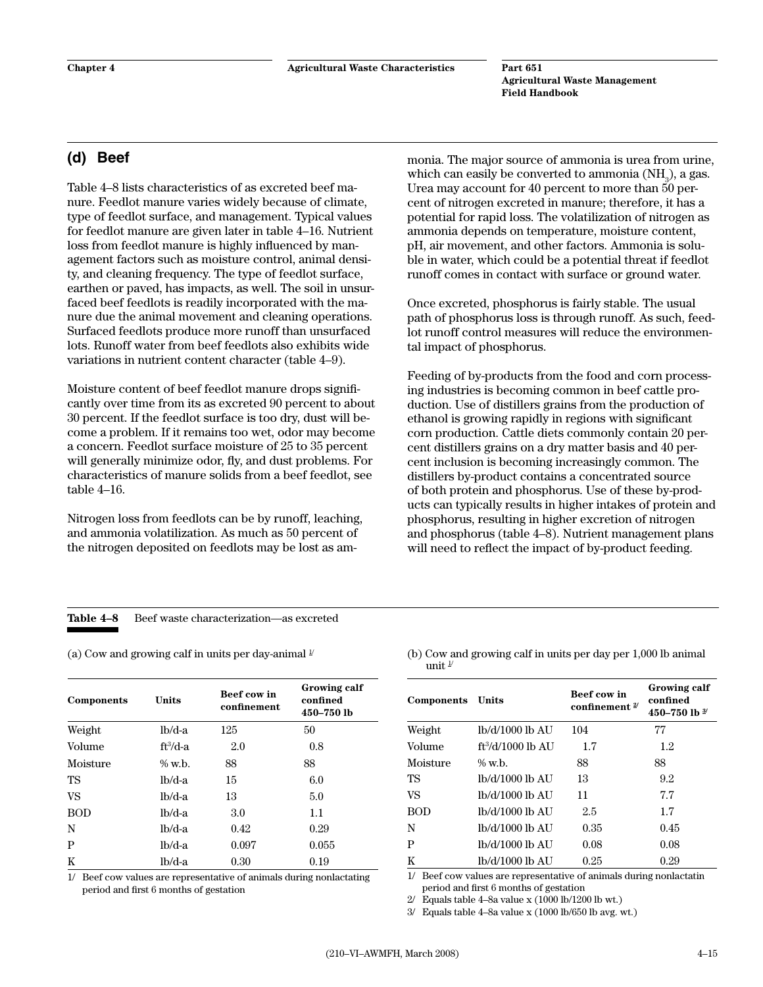# <span id="page-22-0"></span>**(d) Beef**

Table 4–8 lists characteristics of as excreted beef manure. Feedlot manure varies widely because of climate, type of feedlot surface, and management. Typical values for feedlot manure are given later in table 4–16. Nutrient loss from feedlot manure is highly influenced by management factors such as moisture control, animal density, and cleaning frequency. The type of feedlot surface, earthen or paved, has impacts, as well. The soil in unsurfaced beef feedlots is readily incorporated with the manure due the animal movement and cleaning operations. Surfaced feedlots produce more runoff than unsurfaced lots. Runoff water from beef feedlots also exhibits wide variations in nutrient content character (table 4–9).

Moisture content of beef feedlot manure drops significantly over time from its as excreted 90 percent to about 30 percent. If the feedlot surface is too dry, dust will become a problem. If it remains too wet, odor may become a concern. Feedlot surface moisture of 25 to 35 percent will generally minimize odor, fly, and dust problems. For characteristics of manure solids from a beef feedlot, see table 4–16.

Nitrogen loss from feedlots can be by runoff, leaching, and ammonia volatilization. As much as 50 percent of the nitrogen deposited on feedlots may be lost as ammonia. The major source of ammonia is urea from urine, which can easily be converted to ammonia (NH $_{\rm 3}$ ), a gas. Urea may account for 40 percent to more than 50 percent of nitrogen excreted in manure; therefore, it has a potential for rapid loss. The volatilization of nitrogen as ammonia depends on temperature, moisture content, pH, air movement, and other factors. Ammonia is soluble in water, which could be a potential threat if feedlot runoff comes in contact with surface or ground water.

Once excreted, phosphorus is fairly stable. The usual path of phosphorus loss is through runoff. As such, feedlot runoff control measures will reduce the environmental impact of phosphorus.

Feeding of by-products from the food and corn processing industries is becoming common in beef cattle production. Use of distillers grains from the production of ethanol is growing rapidly in regions with significant corn production. Cattle diets commonly contain 20 percent distillers grains on a dry matter basis and 40 percent inclusion is becoming increasingly common. The distillers by-product contains a concentrated source of both protein and phosphorus. Use of these by-products can typically results in higher intakes of protein and phosphorus, resulting in higher excretion of nitrogen and phosphorus (table 4–8). Nutrient management plans will need to reflect the impact of by-product feeding.

#### **Table 4–8** Beef waste characterization—as excreted

| Components | Units     | Beef cow in<br>confinement | Growing calf<br>confined<br>450-750 lb |
|------------|-----------|----------------------------|----------------------------------------|
| Weight     | $lb/d-a$  | 125                        | 50                                     |
| Volume     | $ft3/d-a$ | 2.0                        | 0.8                                    |
| Moisture   | $\%$ w.b. | 88                         | 88                                     |
| TS         | $lb/d-a$  | 15                         | 6.0                                    |
| VS         | $lb/d-a$  | 13                         | 5.0                                    |
| <b>BOD</b> | $lb/d-a$  | 3.0                        | 1.1                                    |
| N          | $lb/d-a$  | 0.42                       | 0.29                                   |
| P          | $lb/d-a$  | 0.097                      | 0.055                                  |
| K          | lb/d-a    | 0.30                       | 0.19                                   |

1/ Beef cow values are representative of animals during nonlactating period and first 6 months of gestation

(a) Cow and growing calf in units per day-animal  $\frac{1}{\sqrt{2}}$  (b) Cow and growing calf in units per day per 1,000 lb animal unit  $1/$ 

| Components | Units               | <b>Beef cow in</b><br>confinement $\frac{2}{3}$ | Growing calf<br>confined<br>450-750 lb $^{3/2}$ |
|------------|---------------------|-------------------------------------------------|-------------------------------------------------|
| Weight     | lb/d/1000 lb AU     | 104                                             | 77                                              |
| Volume     | $ft^3/d/1000$ lb AU | 1.7                                             | 1.2                                             |
| Moisture   | $\%$ w.b.           | 88                                              | 88                                              |
| TS         | lb/d/1000 lb AU     | 13                                              | 9.2                                             |
| VS         | lb/d/1000 lb AU     | 11                                              | 7.7                                             |
| <b>BOD</b> | 1b/d/1000 lb AU     | 2.5                                             | 1.7                                             |
| N          | lb/d/1000 lb AU     | 0.35                                            | 0.45                                            |
| P          | lb/d/1000 lb AU     | 0.08                                            | 0.08                                            |
| K          | lb/d/1000 lb AU     | 0.25                                            | 0.29                                            |

1/ Beef cow values are representative of animals during nonlactatin period and first 6 months of gestation

 $2/$  Equals table 4–8a value x (1000 lb/1200 lb wt.)

3/ Equals table 4–8a value x (1000 lb/650 lb avg. wt.)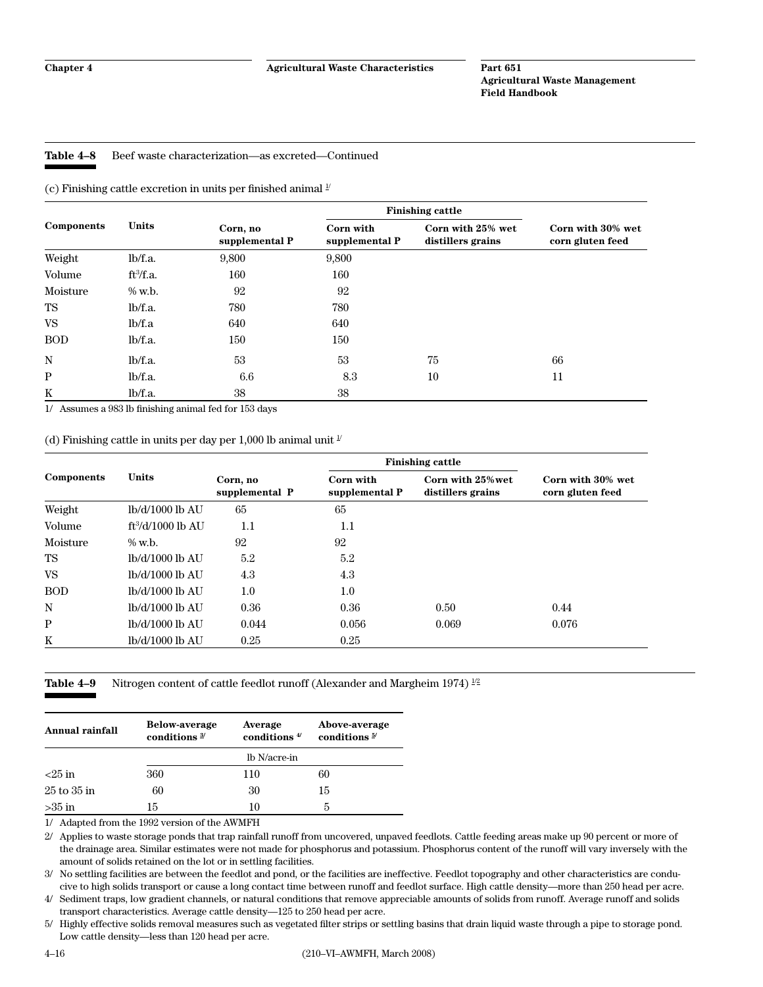#### <span id="page-23-0"></span>**Table 4–8** Beef waste characterization—as excreted—Continued

(c) Finishing cattle excretion in units per finished animal  $\frac{1}{2}$ 

|            | <b>Units</b>          |                            | <b>Finishing cattle</b>     |                                        |                                       |
|------------|-----------------------|----------------------------|-----------------------------|----------------------------------------|---------------------------------------|
| Components |                       | Corn, no<br>supplemental P | Corn with<br>supplemental P | Corn with 25% wet<br>distillers grains | Corn with 30% wet<br>corn gluten feed |
| Weight     | lb/f.a.               | 9,800                      | 9,800                       |                                        |                                       |
| Volume     | ft <sup>3</sup> /f.a. | 160                        | 160                         |                                        |                                       |
| Moisture   | $\%$ w.b.             | 92                         | 92                          |                                        |                                       |
| TS         | lb/f.a.               | 780                        | 780                         |                                        |                                       |
| VS         | lb/f.a                | 640                        | 640                         |                                        |                                       |
| <b>BOD</b> | lb/f.a.               | 150                        | 150                         |                                        |                                       |
| N          | lb/f.a.               | 53                         | 53                          | 75                                     | 66                                    |
| P          | lb/f.a.               | 6.6                        | 8.3                         | 10                                     | 11                                    |
| K          | lb/f.a.               | 38                         | 38                          |                                        |                                       |

1/ Assumes a 983 lb finishing animal fed for 153 days

(d) Finishing cattle in units per day per 1,000 lb animal unit  $\frac{1}{2}$ 

|            |                     |                            | <b>Finishing cattle</b>     |                                        |                                       |
|------------|---------------------|----------------------------|-----------------------------|----------------------------------------|---------------------------------------|
| Components | Units               | Corn, no<br>supplemental P | Corn with<br>supplemental P | Corn with 25% wet<br>distillers grains | Corn with 30% wet<br>corn gluten feed |
| Weight     | lb/d/1000 lb AU     | 65                         | 65                          |                                        |                                       |
| Volume     | $ft^3/d/1000$ lb AU | 1.1                        | 1.1                         |                                        |                                       |
| Moisture   | $\%$ w.b.           | 92                         | 92                          |                                        |                                       |
| TS         | lb/d/1000 lb AU     | 5.2                        | 5.2                         |                                        |                                       |
| <b>VS</b>  | lb/d/1000 lb AU     | 4.3                        | 4.3                         |                                        |                                       |
| <b>BOD</b> | lb/d/1000 lb AU     | 1.0                        | 1.0                         |                                        |                                       |
| N          | lb/d/1000 lb AU     | 0.36                       | 0.36                        | 0.50                                   | 0.44                                  |
| P          | lb/d/1000 lb AU     | 0.044                      | 0.056                       | 0.069                                  | 0.076                                 |
| K          | lb/d/1000 lb AU     | 0.25                       | 0.25                        |                                        |                                       |

**Table 4–9** Nitrogen content of cattle feedlot runoff (Alexander and Margheim 1974) <sup>1/2</sup>

| Annual rainfall  | <b>Below-average</b><br>conditions $\frac{3}{2}$ | Average<br>conditions $4/$ | Above-average<br>conditions $\frac{5}{2}$ |  |  |
|------------------|--------------------------------------------------|----------------------------|-------------------------------------------|--|--|
|                  | lb N/acre-in                                     |                            |                                           |  |  |
| $\epsilon$ 25 in | 360                                              | 110                        | 60                                        |  |  |
| $25$ to $35$ in  | 60                                               | 30                         | 15                                        |  |  |
| $>35$ in         | 15                                               | 10                         | h                                         |  |  |

1/ Adapted from the 1992 version of the AWMFH

2/ Applies to waste storage ponds that trap rainfall runoff from uncovered, unpaved feedlots. Cattle feeding areas make up 90 percent or more of the drainage area. Similar estimates were not made for phosphorus and potassium. Phosphorus content of the runoff will vary inversely with the amount of solids retained on the lot or in settling facilities.

3/ No settling facilities are between the feedlot and pond, or the facilities are ineffective. Feedlot topography and other characteristics are conducive to high solids transport or cause a long contact time between runoff and feedlot surface. High cattle density—more than 250 head per acre.

4/ Sediment traps, low gradient channels, or natural conditions that remove appreciable amounts of solids from runoff. Average runoff and solids transport characteristics. Average cattle density—125 to 250 head per acre.

5/ Highly effective solids removal measures such as vegetated filter strips or settling basins that drain liquid waste through a pipe to storage pond. Low cattle density—less than 120 head per acre.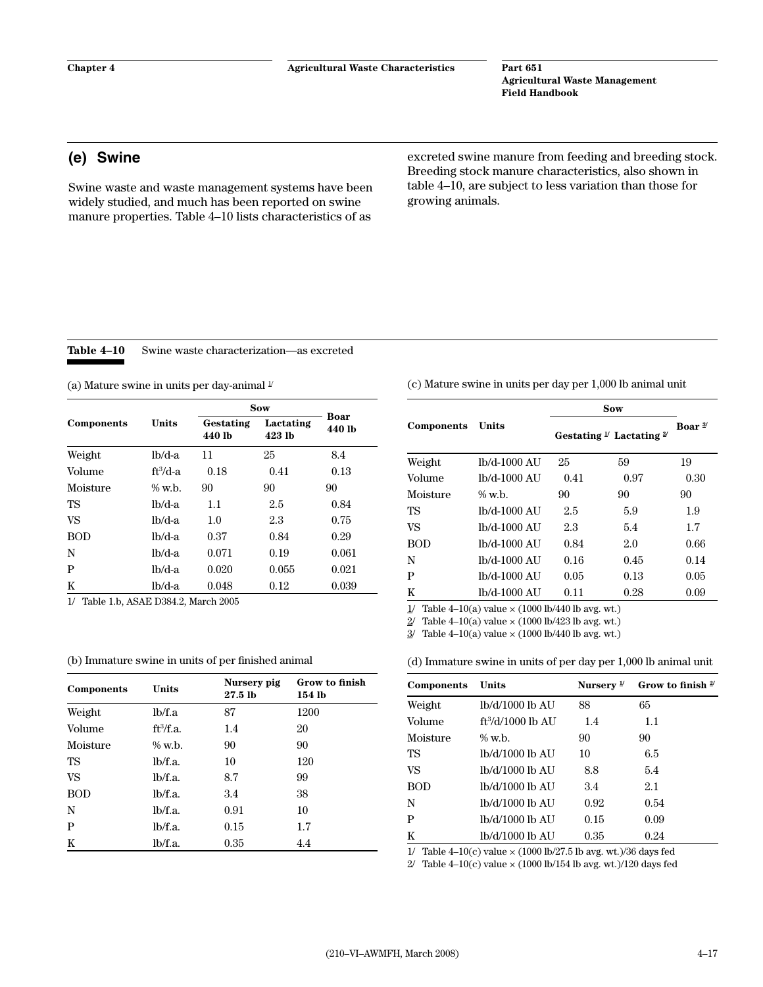# **(e) Swine**

Swine waste and waste management systems have been widely studied, and much has been reported on swine manure properties. Table 4–10 lists characteristics of as

excreted swine manure from feeding and breeding stock. Breeding stock manure characteristics, also shown in table 4–10, are subject to less variation than those for growing animals.

**Table 4–10** Swine waste characterization—as excreted

|            |           |                     | Sow                 |                       |
|------------|-----------|---------------------|---------------------|-----------------------|
| Components | Units     | Gestating<br>440 lb | Lactating<br>423 lb | <b>Boar</b><br>440 lb |
| Weight     | $lb/d-a$  | 11                  | 25                  | 8.4                   |
| Volume     | $ft3/d-a$ | 0.18                | 0.41                | 0.13                  |
| Moisture   | $\%$ w.h. | 90                  | 90                  | 90                    |
| TS         | $lb/d-a$  | 1.1                 | 2.5                 | 0.84                  |
| VS         | $1b/d-a$  | 1.0                 | 2.3                 | 0.75                  |
| <b>BOD</b> | $lb/d-a$  | 0.37                | 0.84                | 0.29                  |
| N          | $1b/d-a$  | 0.071               | 0.19                | 0.061                 |
| P          | lb/d-a    | 0.020               | 0.055               | 0.021                 |
| K          | $lb/d-a$  | 0.048               | 0.12                | 0.039                 |

1/ Table 1.b, ASAE D384.2, March 2005

| Components | Units                 | Nursery pig<br>$27.5$ lb | Grow to finish<br>154 lb |
|------------|-----------------------|--------------------------|--------------------------|
| Weight     | lb/f.a                | 87                       | 1200                     |
| Volume     | ft <sup>3</sup> /f.a. | 1.4                      | 20                       |
| Moisture   | $\%$ w.b.             | 90                       | 90                       |
| TS         | lb/f.a.               | 10                       | 120                      |
| <b>VS</b>  | lb/f.a.               | 8.7                      | 99                       |
| <b>BOD</b> | lb/f.a.               | 3.4                      | 38                       |
| N          | lb/f.a.               | 0.91                     | 10                       |
| P          | lb/f.a.               | 0.15                     | 1.7                      |
| K          | lb/f.a.               | 0.35                     | 4.4                      |

(a) Mature swine in units per day-animal  $\frac{1}{2}$  (c) Mature swine in units per day per 1,000 lb animal unit

|            |              |      | Sow                                             |                    |
|------------|--------------|------|-------------------------------------------------|--------------------|
| Components | Units        |      | Gestating $\frac{1}{2}$ Lactating $\frac{2}{2}$ | Boar $\frac{3}{2}$ |
| Weight     | lb/d-1000 AU | 25   | 59                                              | 19                 |
| Volume     | lb/d-1000 AU | 0.41 | 0.97                                            | 0.30               |
| Moisture   | $\%$ w.h.    | 90   | 90                                              | 90                 |
| TS         | lb/d-1000 AU | 2.5  | 5.9                                             | 1.9                |
| VS         | lb/d-1000 AU | 2.3  | 5.4                                             | 1.7                |
| <b>BOD</b> | lb/d-1000 AU | 0.84 | 2.0                                             | 0.66               |
| N          | lb/d-1000 AU | 0.16 | 0.45                                            | 0.14               |
| P          | lb/d-1000 AU | 0.05 | 0.13                                            | 0.05               |
| K          | lb/d-1000 AU | 0.11 | 0.28                                            | 0.09               |

1/ Table 4–10(a) value  $\times$  (1000 lb/440 lb avg. wt.)

 $2/$  Table 4–10(a) value  $\times$  (1000 lb/423 lb avg. wt.)

 $\frac{3}{2}$  Table 4–10(a) value  $\times$  (1000 lb/440 lb avg. wt.)

(b) Immature swine in units of per finished animal (d) Immature swine in units of per day per 1,000 lb animal unit

| Components | Units               | Nursery $\frac{1}{2}$ | Grow to finish $2^{\prime}$ |
|------------|---------------------|-----------------------|-----------------------------|
| Weight     | lb/d/1000 lb AU     | 88                    | 65                          |
| Volume     | $ft^3/d/1000$ lb AU | 1.4                   | 1.1                         |
| Moisture   | $\%$ w.b.           | 90                    | 90                          |
| TS         | lb/d/1000 lb AU     | 10                    | 6.5                         |
| VS         | lb/d/1000 lb AU     | 8.8                   | 5.4                         |
| <b>BOD</b> | lb/d/1000 lb AU     | 3.4                   | 2.1                         |
| N          | lb/d/1000 lb AU     | 0.92                  | 0.54                        |
| P          | lb/d/1000 lb AU     | 0.15                  | 0.09                        |
| K          | lb/d/1000 lb AU     | 0.35                  | 0.24                        |

1/ Table 4–10(c) value  $\times$  (1000 lb/27.5 lb avg. wt.)/36 days fed

2/ Table 4–10(c) value  $\times$  (1000 lb/154 lb avg. wt.)/120 days fed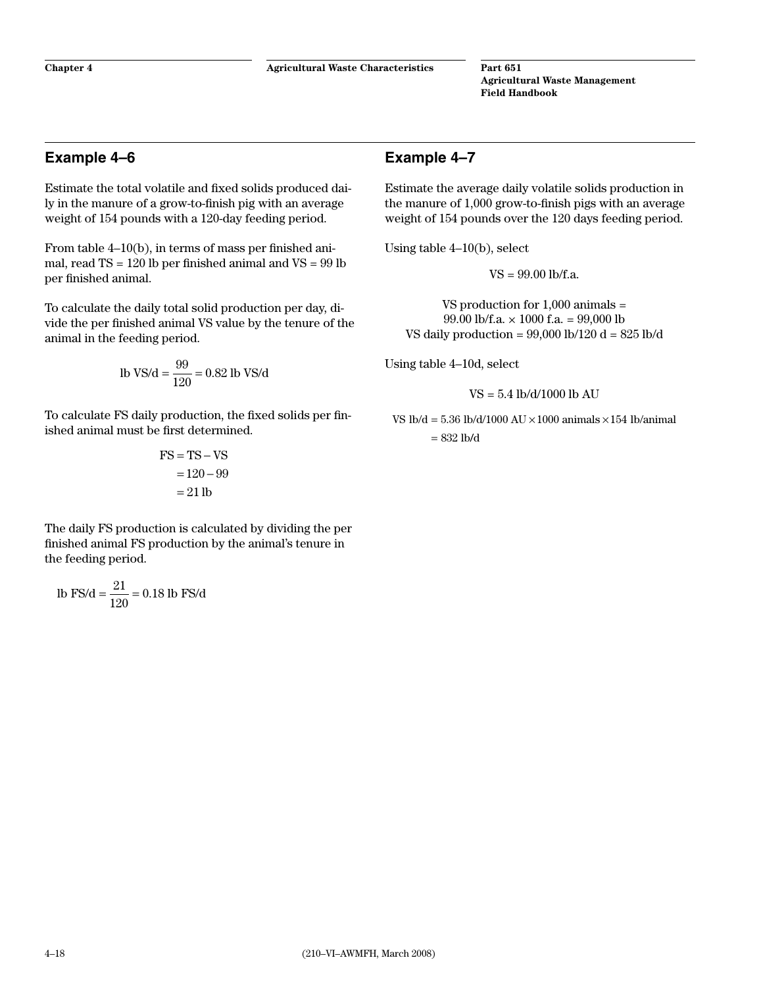## <span id="page-25-0"></span>**Example 4–6**

Estimate the total volatile and fixed solids produced daily in the manure of a grow-to-finish pig with an average weight of 154 pounds with a 120-day feeding period.

From table 4–10(b), in terms of mass per finished animal, read TS = 120 lb per finished animal and VS = 99 lb per finished animal.

To calculate the daily total solid production per day, divide the per finished animal VS value by the tenure of the animal in the feeding period.

lb VS/d = 
$$
\frac{99}{120}
$$
 = 0.82 lb VS/d

To calculate FS daily production, the fixed solids per finished animal must be first determined.

$$
FS = TS - VS
$$

$$
= 120 - 99
$$

$$
= 21 lb
$$

The daily FS production is calculated by dividing the per finished animal FS production by the animal's tenure in the feeding period.

lb FS/d = 
$$
\frac{21}{120}
$$
 = 0.18 lb FS/d

# **Example 4–7**

Estimate the average daily volatile solids production in the manure of 1,000 grow-to-finish pigs with an average weight of 154 pounds over the 120 days feeding period.

Using table 4–10(b), select

VS = 99.00 lb/f.a.

VS production for 1,000 animals = 99.00 lb/f.a.  $\times$  1000 f.a. = 99.000 lb VS daily production =  $99,000$  lb/120 d =  $825$  lb/d

Using table 4–10d, select

VS = 5.4 lb/d/1000 lb AU

VS  $lb/d = 5.36 lb/d/1000 AU \times 1000 animals \times 154 lb/animal$ = 832 lb/d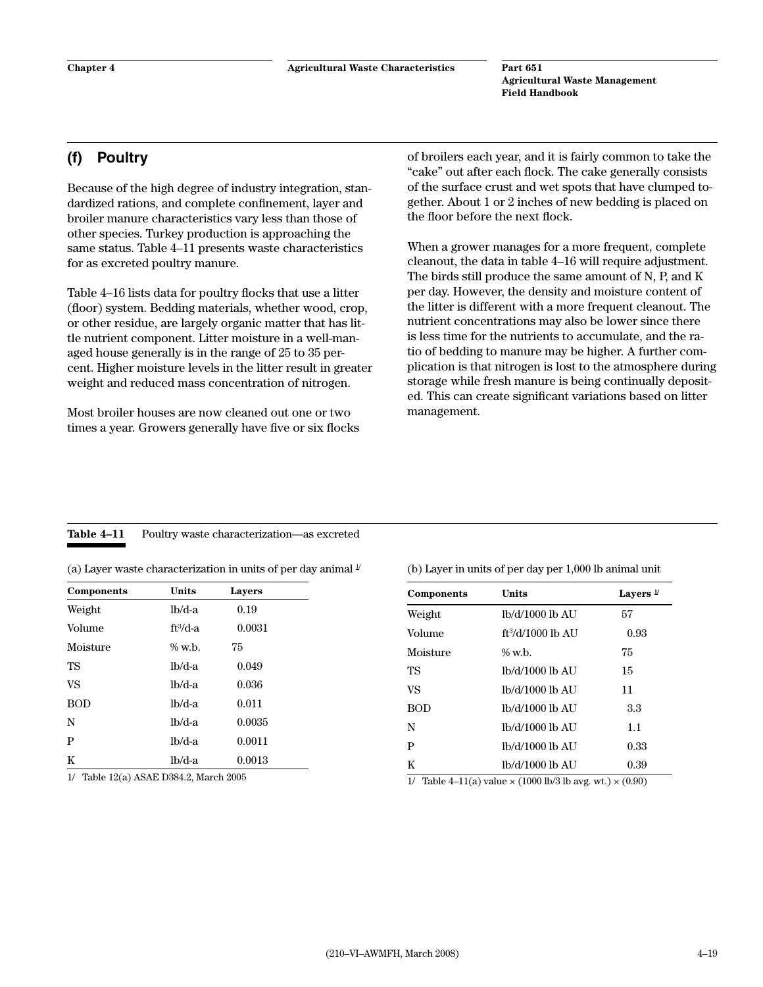# <span id="page-26-0"></span>**(f) Poultry**

Because of the high degree of industry integration, standardized rations, and complete confinement, layer and broiler manure characteristics vary less than those of other species. Turkey production is approaching the same status. Table 4–11 presents waste characteristics for as excreted poultry manure.

Table 4–16 lists data for poultry flocks that use a litter (floor) system. Bedding materials, whether wood, crop, or other residue, are largely organic matter that has little nutrient component. Litter moisture in a well-managed house generally is in the range of 25 to 35 percent. Higher moisture levels in the litter result in greater weight and reduced mass concentration of nitrogen.

Most broiler houses are now cleaned out one or two times a year. Growers generally have five or six flocks of broilers each year, and it is fairly common to take the "cake" out after each flock. The cake generally consists of the surface crust and wet spots that have clumped together. About 1 or 2 inches of new bedding is placed on the floor before the next flock.

When a grower manages for a more frequent, complete cleanout, the data in table 4–16 will require adjustment. The birds still produce the same amount of N, P, and K per day. However, the density and moisture content of the litter is different with a more frequent cleanout. The nutrient concentrations may also be lower since there is less time for the nutrients to accumulate, and the ratio of bedding to manure may be higher. A further complication is that nitrogen is lost to the atmosphere during storage while fresh manure is being continually deposited. This can create significant variations based on litter management.

# Table 4-11 Poultry waste characterization—as excreted

|  | (a) Layer waste characterization in units of per day animal $\frac{1}{2}$ |  |  |  |
|--|---------------------------------------------------------------------------|--|--|--|
|  |                                                                           |  |  |  |

| Components | <b>Units</b> | Layers |  |
|------------|--------------|--------|--|
| Weight     | $lb/d-a$     | 0.19   |  |
| Volume     | $ft^3/d-a$   | 0.0031 |  |
| Moisture   | $\%$ w.b.    | 75     |  |
| TS         | $lb/d-a$     | 0.049  |  |
| <b>VS</b>  | $lb/d-a$     | 0.036  |  |
| <b>BOD</b> | $lb/d-a$     | 0.011  |  |
| N          | $lb/d-a$     | 0.0035 |  |
| P          | $lb/d-a$     | 0.0011 |  |
| K          | $lb/d-a$     | 0.0013 |  |

1/ Table 12(a) ASAE D384.2, March 2005

(b) Layer in units of per day per 1,000 lb animal unit

| Components | Units               | Layers $\frac{1}{2}$ |
|------------|---------------------|----------------------|
| Weight     | lb/d/1000 lb AU     | 57                   |
| Volume     | $ft^3/d/1000$ lb AU | 0.93                 |
| Moisture   | $\%$ w.b.           | 75                   |
| TS         | lb/d/1000 lb AU     | 15                   |
| VS         | lb/d/1000 lb AU     | 11                   |
| <b>BOD</b> | lb/d/1000 lb AU     | 3.3                  |
| N          | lb/d/1000 lb AU     | 1.1                  |
| P          | lb/d/1000 lb AU     | 0.33                 |
| K          | lb/d/1000 lb AU     | 0.39                 |

1/ Table 4–11(a) value  $\times$  (1000 lb/3 lb avg. wt.)  $\times$  (0.90)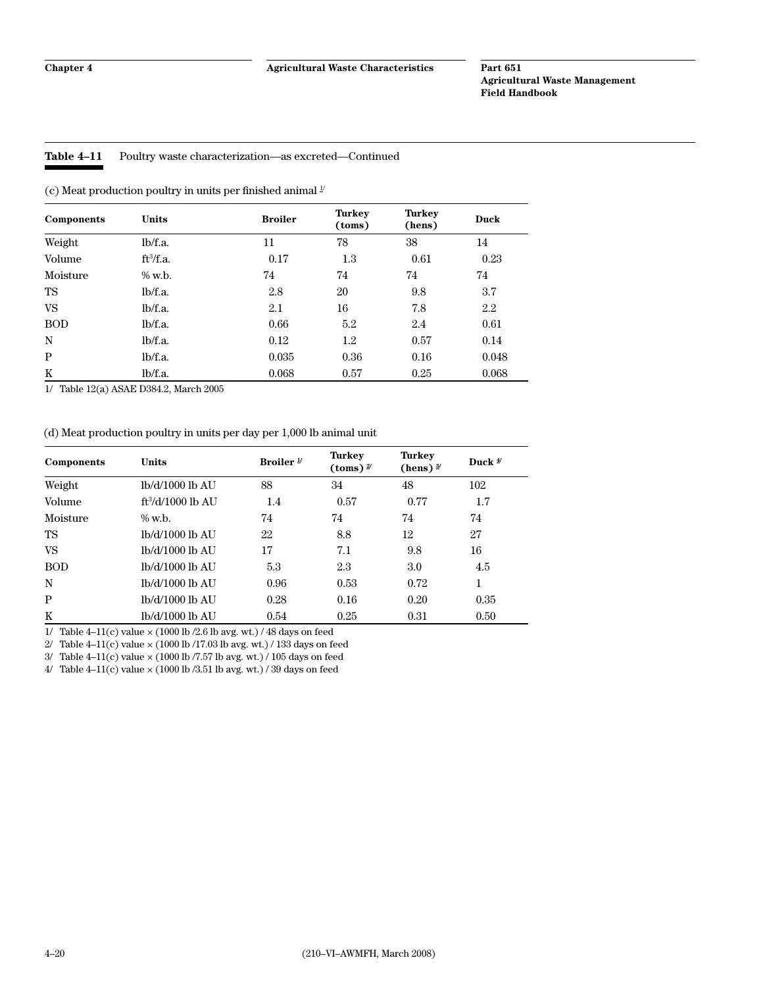#### <span id="page-27-0"></span>**Table 4–11** Poultry waste characterization—as excreted—Continued

(c) Meat production poultry in units per finished animal  $^{\mathcal{Y}}$ 

| Components | <b>Units</b> | <b>Broiler</b> | <b>Turkey</b><br>(toms) | <b>Turkey</b><br>(hens) | <b>Duck</b> |
|------------|--------------|----------------|-------------------------|-------------------------|-------------|
| Weight     | lb/f.a.      | 11             | 78                      | 38                      | 14          |
| Volume     | $ft^3/f.a.$  | 0.17           | $1.3\,$                 | 0.61                    | 0.23        |
| Moisture   | $\%$ w.b.    | 74             | 74                      | 74                      | 74          |
| TS         | lb/f.a.      | 2.8            | 20                      | 9.8                     | 3.7         |
| VS         | lb/f.a.      | 2.1            | 16                      | 7.8                     | 2.2         |
| <b>BOD</b> | lb/f.a.      | 0.66           | 5.2                     | 2.4                     | 0.61        |
| N          | lb/f.a.      | 0.12           | $1.2\,$                 | 0.57                    | 0.14        |
| P          | lb/f.a.      | 0.035          | 0.36                    | 0.16                    | 0.048       |
| K          | lb/f.a.      | 0.068          | 0.57                    | 0.25                    | 0.068       |

1/ Table 12(a) ASAE D384.2, March 2005

#### (d) Meat production poultry in units per day per 1,000 lb animal unit

| Components | <b>Units</b>        | Broiler $\frac{1}{2}$ | <b>Turkey</b><br>(toms) $\frac{2}{3}$ | <b>Turkey</b><br>(hens) $\frac{3}{2}$ | Duck $\frac{4}{3}$ |
|------------|---------------------|-----------------------|---------------------------------------|---------------------------------------|--------------------|
| Weight     | lb/d/1000 lb AU     | 88                    | 34                                    | 48                                    | 102                |
| Volume     | $ft^3/d/1000$ lb AU | 1.4                   | 0.57                                  | 0.77                                  | 1.7                |
| Moisture   | $\%$ w.b.           | 74                    | 74                                    | 74                                    | 74                 |
| TS         | lb/d/1000 lb AU     | 22                    | 8.8                                   | 12                                    | 27                 |
| VS.        | lb/d/1000 lb AU     | 17                    | 7.1                                   | 9.8                                   | 16                 |
| <b>BOD</b> | lb/d/1000 lb AU     | 5.3                   | 2.3                                   | 3.0                                   | 4.5                |
| N          | lb/d/1000 lb AU     | 0.96                  | 0.53                                  | 0.72                                  | 1                  |
| P          | lb/d/1000 lb AU     | 0.28                  | 0.16                                  | 0.20                                  | 0.35               |
| K          | lb/d/1000 lb AU     | 0.54                  | 0.25                                  | 0.31                                  | 0.50               |

1/ Table 4–11(c) value  $\times$  (1000 lb /2.6 lb avg. wt.) / 48 days on feed

 $2/$  Table 4–11(c) value  $\times$  (1000 lb /17.03 lb avg. wt.) / 133 days on feed

 $3/$  Table 4–11(c) value  $\times$  (1000 lb /7.57 lb avg. wt.) / 105 days on feed

 $4/$  Table  $4-11(c)$  value  $\times$  (1000 lb /3.51 lb avg. wt.) / 39 days on feed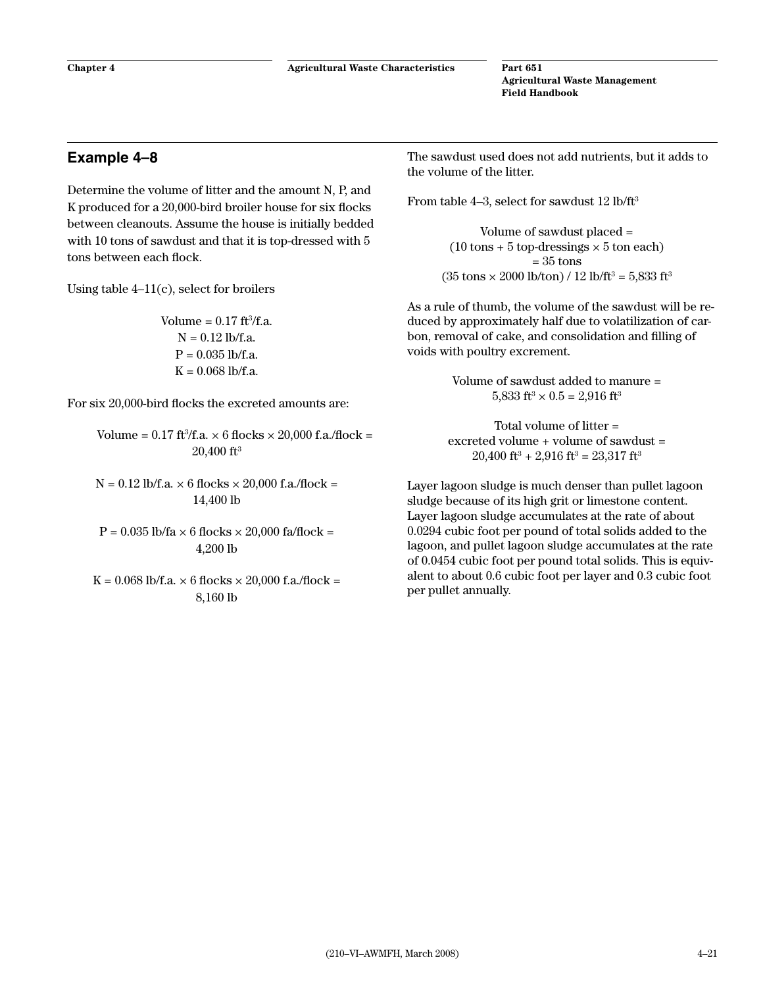# <span id="page-28-0"></span>**Example 4–8**

Determine the volume of litter and the amount N, P, and K produced for a 20,000-bird broiler house for six flocks between cleanouts. Assume the house is initially bedded with 10 tons of sawdust and that it is top-dressed with 5 tons between each flock.

Using table  $4-11(c)$ , select for broilers

Volume  $= 0.17$  ft $^3$ /f.a.  $N = 0.12$  lb/f.a.  $P = 0.035$  lb/f.a.  $K = 0.068$  lb/f.a.

For six 20,000-bird flocks the excreted amounts are:

- Volume =  $0.17$  ft<sup>3</sup>/f.a.  $\times$  6 flocks  $\times$  20,000 f.a./flock = 20,400 ft3
- $N = 0.12$  lb/f.a.  $\times$  6 flocks  $\times$  20,000 f.a./flock = 14,400 lb
- $P = 0.035$  lb/fa  $\times$  6 flocks  $\times$  20,000 fa/flock = 4,200 lb
- $K = 0.068$  lb/f.a.  $\times$  6 flocks  $\times$  20,000 f.a./flock = 8,160 lb

The sawdust used does not add nutrients, but it adds to the volume of the litter.

From table 4–3, select for sawdust  $12 \text{ lb/ft}^3$ 

Volume of sawdust placed =  $(10 \text{ tons} + 5 \text{ top-dressings} \times 5 \text{ ton} \text{ each})$  $= 35$  tons  $(35 \text{ tons} \times 2000 \text{ lb/ton}) / 12 \text{ lb/ft}^3 = 5,833 \text{ ft}^3$ 

As a rule of thumb, the volume of the sawdust will be reduced by approximately half due to volatilization of carbon, removal of cake, and consolidation and filling of voids with poultry excrement.

> Volume of sawdust added to manure = 5,833 ft<sup>3</sup>  $\times$  0.5 = 2,916 ft<sup>3</sup>

Total volume of litter = excreted volume  $+$  volume of sawdust  $=$  $20,400$  ft<sup>3</sup> + 2,916 ft<sup>3</sup> = 23,317 ft<sup>3</sup>

Layer lagoon sludge is much denser than pullet lagoon sludge because of its high grit or limestone content. Layer lagoon sludge accumulates at the rate of about 0.0294 cubic foot per pound of total solids added to the lagoon, and pullet lagoon sludge accumulates at the rate of 0.0454 cubic foot per pound total solids. This is equivalent to about 0.6 cubic foot per layer and 0.3 cubic foot per pullet annually.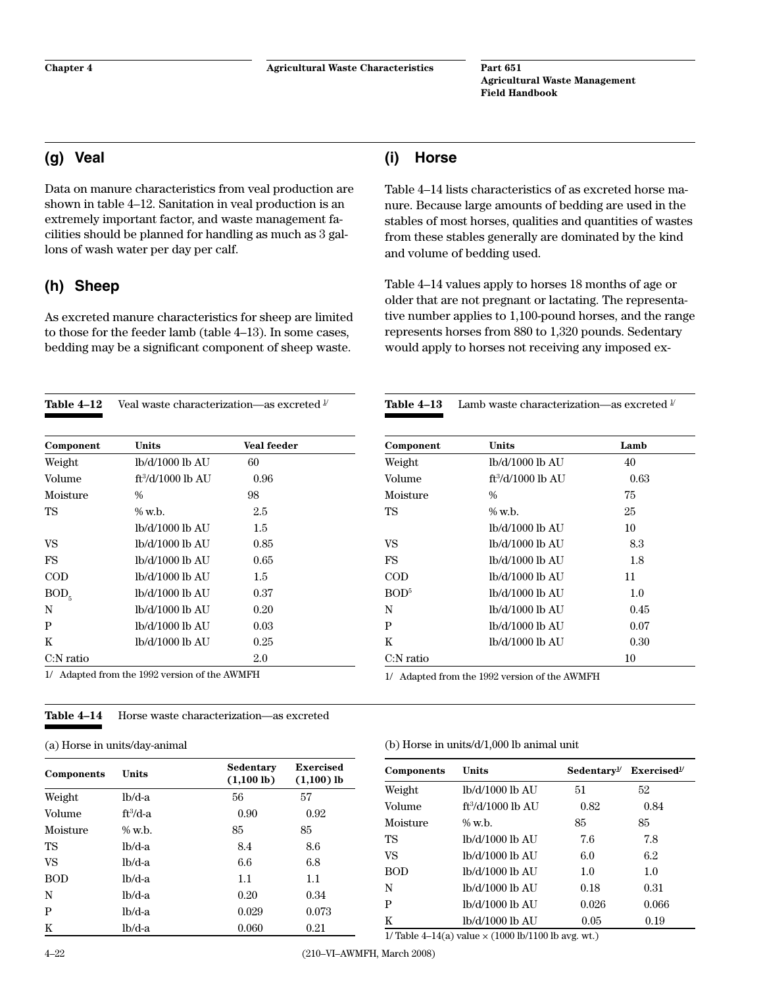**(i) Horse**

**Agricultural Waste Management Field Handbook**

# <span id="page-29-0"></span>**(g) Veal**

Data on manure characteristics from veal production are shown in table 4–12. Sanitation in veal production is an extremely important factor, and waste management facilities should be planned for handling as much as 3 gallons of wash water per day per calf.

# **(h) Sheep**

As excreted manure characteristics for sheep are limited to those for the feeder lamb (table 4–13). In some cases, bedding may be a significant component of sheep waste.

| Table 4-12    | Veal waste characterization—as excreted $^{\text{\tiny{\it{l}}}}$ |                    |  |
|---------------|-------------------------------------------------------------------|--------------------|--|
| Component     | <b>Units</b>                                                      | <b>Veal feeder</b> |  |
| Weight        | lb/d/1000 lb AU                                                   | 60                 |  |
| Volume        | ft <sup>3</sup> /d/1000 lb AU                                     | 0.96               |  |
| Moisture      | $\frac{0}{0}$                                                     | 98                 |  |
| TS            | $\%$ w.h.                                                         | 2.5                |  |
|               | lb/d/1000 lb AU                                                   | 1.5                |  |
| VS            | lb/d/1000 lb AU                                                   | 0.85               |  |
| FS            | lb/d/1000 lb AU                                                   | 0.65               |  |
| $\rm{COD}$    | lb/d/1000 lb AU                                                   | 1.5                |  |
| $BOD\epsilon$ | lb/d/1000 lb AU                                                   | 0.37               |  |
| N             | lb/d/1000 lb AU                                                   | 0.20               |  |
| P             | lb/d/1000 lb AU                                                   | 0.03               |  |
| K             | lb/d/1000 lb AU                                                   | 0.25               |  |
| C:N ratio     |                                                                   | 2.0                |  |

1/ Adapted from the 1992 version of the AWMFH

#### **Table 4–14** Horse waste characterization—as excreted

(a) Horse in units/day-animal

| Components | <b>Units</b> | Sedentary<br>$(1,100 \text{ lb})$ | Exercised<br>$(1,100)$ lb | Components                           | <b>Units</b>                            | Sedentary <sup>1</sup> | <b>Exercise</b> |
|------------|--------------|-----------------------------------|---------------------------|--------------------------------------|-----------------------------------------|------------------------|-----------------|
| Weight     | $lb/d-a$     | 56                                | 57                        | Weight                               | lb/d/1000 lb AU                         | 51                     | 52              |
|            |              |                                   |                           | <b>Volume</b>                        | $ft^3/d/1000$ lb AU                     | 0.82                   | 0.84            |
| Volume     | $ft^3/d-a$   | 0.90                              | 0.92                      | Moisture                             | $%$ w.b.                                | 85                     | 85              |
| Moisture   | $%$ w.b.     | 85                                | 85                        | TS                                   | lb/d/1000 lb AU                         | 7.6                    | 7.8             |
| <b>TS</b>  | $lb/d-a$     | 8.4                               | 8.6                       | VS                                   | lb/d/1000 lb AU                         | 6.0                    | 6.2             |
| VS         | $lb/d-a$     | 6.6                               | 6.8                       |                                      |                                         |                        |                 |
| <b>BOD</b> | $lb/d-a$     | 1.1                               | 1.1                       | <b>BOD</b>                           | lb/d/1000 lb AU                         | $1.0\,$                | $1.0\,$         |
| N          | $lb/d-a$     | 0.20                              | 0.34                      | N                                    | lb/d/1000 lb AU                         | 0.18                   | 0.31            |
| P          | $lb/d-a$     | 0.029                             | 0.073                     | P                                    | lb/d/1000 lb AU                         | 0.026                  | 0.066           |
| K          | $lb/d-a$     | 0.060                             | 0.21                      | K                                    | lb/d/1000 lb AU                         | 0.05                   | 0.19            |
|            |              |                                   |                           | $1/22$ $1/2$ $1/2$ $1/2$ $1/2$ $1/2$ | $(1000 \text{ N} + 1100 \text{ N} + 2)$ |                        |                 |

1/ Table 4–14(a) value  $\times$  (1000 lb/1100 lb avg. wt.)

Table 4–14 lists characteristics of as excreted horse manure. Because large amounts of bedding are used in the stables of most horses, qualities and quantities of wastes from these stables generally are dominated by the kind and volume of bedding used.

Table 4–14 values apply to horses 18 months of age or older that are not pregnant or lactating. The representative number applies to 1,100-pound horses, and the range represents horses from 880 to 1,320 pounds. Sedentary would apply to horses not receiving any imposed ex-

**Table 4–13** Lamb waste characterization—as excreted  $\frac{1}{2}$ 

| Component        | Units                         | Lamb |
|------------------|-------------------------------|------|
| Weight           | lb/d/1000 lb AU               | 40   |
| Volume           | ft <sup>3</sup> /d/1000 lb AU | 0.63 |
| Moisture         | $\frac{0}{0}$                 | 75   |
| TS               | $\%$ w.b.                     | 25   |
|                  | lb/d/1000 lb AU               | 10   |
| VS               | lb/d/1000 lb AU               | 8.3  |
| <b>FS</b>        | lb/d/1000 lb AU               | 1.8  |
| COD              | lb/d/1000 lb AU               | 11   |
| BOD <sup>5</sup> | lb/d/1000 lb AU               | 1.0  |
| N                | lb/d/1000 lb AU               | 0.45 |
| P                | lb/d/1000 lb AU               | 0.07 |
| K                | lb/d/1000 lb AU               | 0.30 |
| $C:$ N ratio     |                               | 10   |

 $Sedentary<sup>1/</sup>$  **Exercised<sup>1/</sup>** 

1/ Adapted from the 1992 version of the AWMFH

#### (b) Horse in units/d/1,000 lb animal unit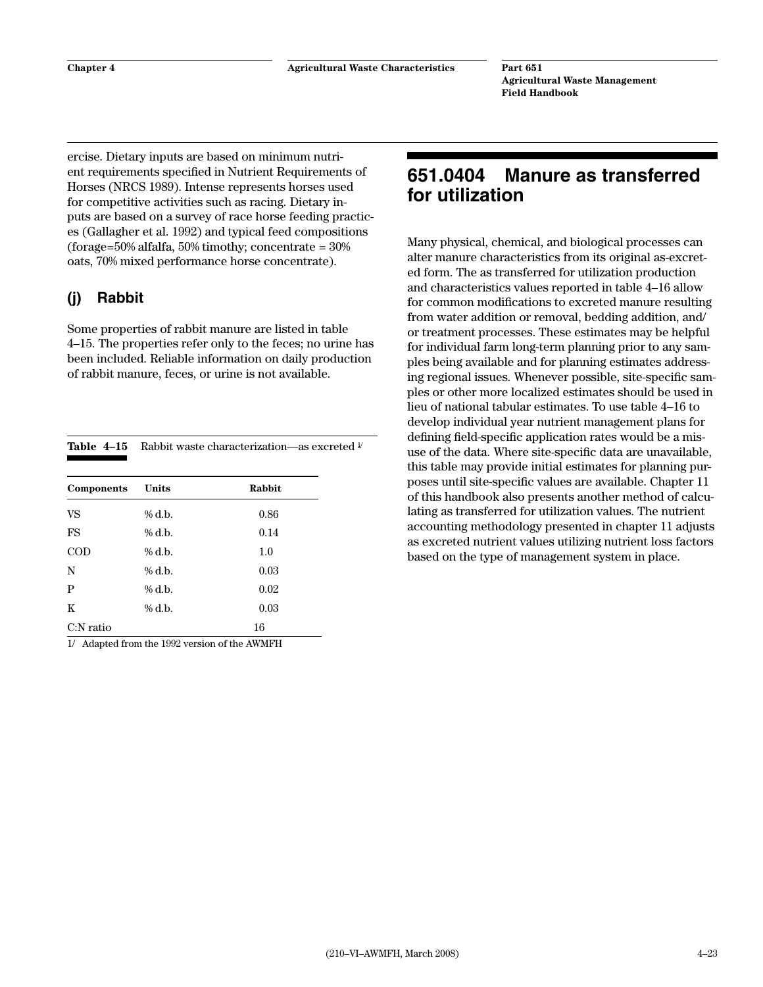<span id="page-30-0"></span>ercise. Dietary inputs are based on minimum nutrient requirements specified in Nutrient Requirements of Horses (NRCS 1989). Intense represents horses used for competitive activities such as racing. Dietary inputs are based on a survey of race horse feeding practices (Gallagher et al. 1992) and typical feed compositions (forage= $50\%$  alfalfa,  $50\%$  timothy; concentrate =  $30\%$ oats, 70% mixed performance horse concentrate).

# **(j) Rabbit**

Some properties of rabbit manure are listed in table 4–15. The properties refer only to the feces; no urine has been included. Reliable information on daily production of rabbit manure, feces, or urine is not available.

|              | <b>Table 4–15</b> Rabbit waste characterization—as excreted $\frac{1}{2}$ |        |  |  |  |  |
|--------------|---------------------------------------------------------------------------|--------|--|--|--|--|
| Components   | Units                                                                     | Rabbit |  |  |  |  |
| <b>VS</b>    | % d.b.                                                                    | 0.86   |  |  |  |  |
| FS           | $%$ d.b.                                                                  | 0.14   |  |  |  |  |
| $\rm{COD}$   | $%$ d.b.                                                                  | 1.0    |  |  |  |  |
| N            | $%$ d.b.                                                                  | 0.03   |  |  |  |  |
| P            | $%$ d.b.                                                                  | 0.02   |  |  |  |  |
| K            | $%$ d.b.                                                                  | 0.03   |  |  |  |  |
| $C:$ N ratio |                                                                           | 16     |  |  |  |  |

1/ Adapted from the 1992 version of the AWMFH

# **651.0404 Manure as transferred for utilization**

Many physical, chemical, and biological processes can alter manure characteristics from its original as-excreted form. The as transferred for utilization production and characteristics values reported in table 4–16 allow for common modifications to excreted manure resulting from water addition or removal, bedding addition, and/ or treatment processes. These estimates may be helpful for individual farm long-term planning prior to any samples being available and for planning estimates addressing regional issues. Whenever possible, site-specific samples or other more localized estimates should be used in lieu of national tabular estimates. To use table 4–16 to develop individual year nutrient management plans for defining field-specific application rates would be a misuse of the data. Where site-specific data are unavailable, this table may provide initial estimates for planning purposes until site-specific values are available. Chapter 11 of this handbook also presents another method of calculating as transferred for utilization values. The nutrient accounting methodology presented in chapter 11 adjusts as excreted nutrient values utilizing nutrient loss factors based on the type of management system in place.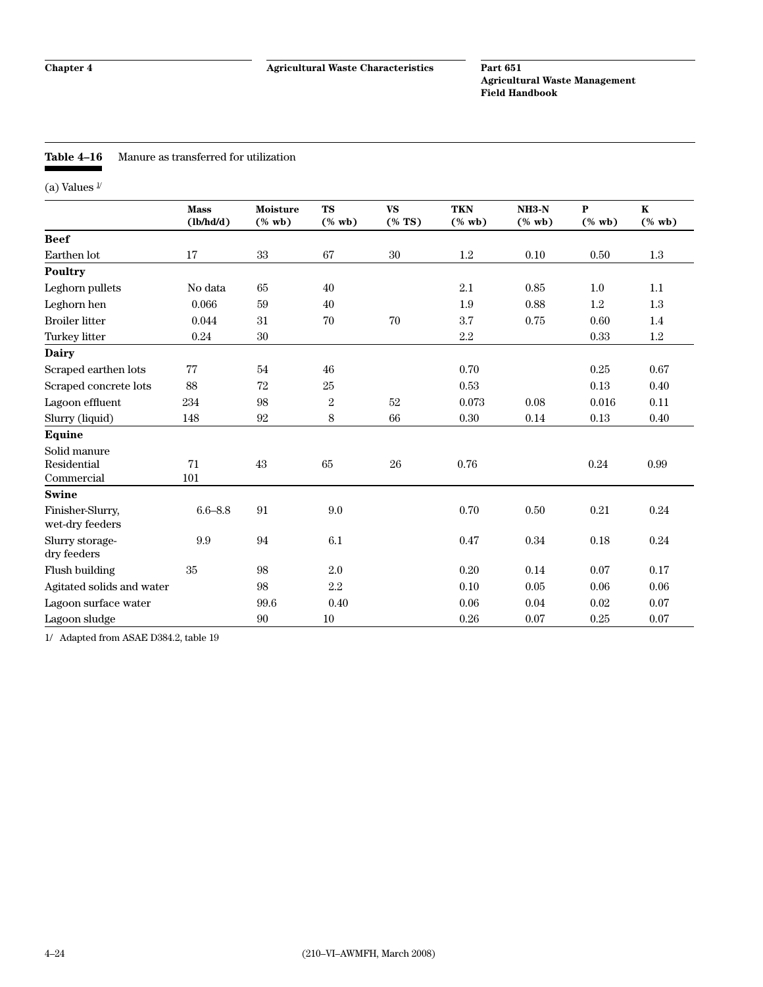#### <span id="page-31-0"></span>**Table 4–16** Manure as transferred for utilization

(a) Values  $\sqrt{1}$ 

|                                           | <b>Mass</b><br>(lb/hd/d) | <b>Moisture</b><br>$(% \mathbf{w}\mathbf{b})$ | <b>TS</b><br>$(% \mathbf{A})$ (% wb) | <b>VS</b><br>$(% \mathbf{S}^{\prime }\mathbf{A})$ | <b>TKN</b><br>$(% \mathbf{A})$ (% wb) | $NH3-N$<br>$(% \mathbf{w}\mathbf{b})$ | ${\bf P}$<br>$(% \mathbf{A})$ (% wb) | $\mathbf K$<br>$(%$ wb) |
|-------------------------------------------|--------------------------|-----------------------------------------------|--------------------------------------|---------------------------------------------------|---------------------------------------|---------------------------------------|--------------------------------------|-------------------------|
| <b>Beef</b>                               |                          |                                               |                                      |                                                   |                                       |                                       |                                      |                         |
| Earthen lot                               | 17                       | 33                                            | 67                                   | 30                                                | $1.2\,$                               | 0.10                                  | 0.50                                 | 1.3                     |
| Poultry                                   |                          |                                               |                                      |                                                   |                                       |                                       |                                      |                         |
| Leghorn pullets                           | No data                  | 65                                            | 40                                   |                                                   | 2.1                                   | 0.85                                  | 1.0                                  | 1.1                     |
| Leghorn hen                               | 0.066                    | 59                                            | 40                                   |                                                   | 1.9                                   | 0.88                                  | 1.2                                  | 1.3                     |
| <b>Broiler litter</b>                     | 0.044                    | 31                                            | 70                                   | 70                                                | 3.7                                   | 0.75                                  | 0.60                                 | 1.4                     |
| Turkey litter                             | 0.24                     | 30                                            |                                      |                                                   | 2.2                                   |                                       | 0.33                                 | $1.2\,$                 |
| <b>Dairy</b>                              |                          |                                               |                                      |                                                   |                                       |                                       |                                      |                         |
| Scraped earthen lots                      | 77                       | 54                                            | 46                                   |                                                   | 0.70                                  |                                       | 0.25                                 | 0.67                    |
| Scraped concrete lots                     | 88                       | 72                                            | 25                                   |                                                   | 0.53                                  |                                       | 0.13                                 | 0.40                    |
| Lagoon effluent                           | 234                      | 98                                            | $\overline{2}$                       | 52                                                | 0.073                                 | 0.08                                  | 0.016                                | 0.11                    |
| Slurry (liquid)                           | 148                      | 92                                            | 8                                    | 66                                                | 0.30                                  | 0.14                                  | 0.13                                 | 0.40                    |
| Equine                                    |                          |                                               |                                      |                                                   |                                       |                                       |                                      |                         |
| Solid manure<br>Residential<br>Commercial | 71<br>101                | 43                                            | 65                                   | 26                                                | 0.76                                  |                                       | 0.24                                 | 0.99                    |
| <b>Swine</b>                              |                          |                                               |                                      |                                                   |                                       |                                       |                                      |                         |
| Finisher-Slurry,<br>wet-dry feeders       | $6.6 - 8.8$              | 91                                            | 9.0                                  |                                                   | 0.70                                  | $0.50\,$                              | 0.21                                 | 0.24                    |
| Slurry storage-<br>dry feeders            | 9.9                      | 94                                            | 6.1                                  |                                                   | 0.47                                  | $\rm 0.34$                            | 0.18                                 | 0.24                    |
| Flush building                            | 35                       | 98                                            | 2.0                                  |                                                   | 0.20                                  | 0.14                                  | 0.07                                 | 0.17                    |
| Agitated solids and water                 |                          | 98                                            | 2.2                                  |                                                   | 0.10                                  | 0.05                                  | 0.06                                 | 0.06                    |
| Lagoon surface water                      |                          | 99.6                                          | 0.40                                 |                                                   | 0.06                                  | 0.04                                  | 0.02                                 | 0.07                    |
| Lagoon sludge                             |                          | 90                                            | 10                                   |                                                   | 0.26                                  | 0.07                                  | 0.25                                 | 0.07                    |

1/ Adapted from ASAE D384.2, table 19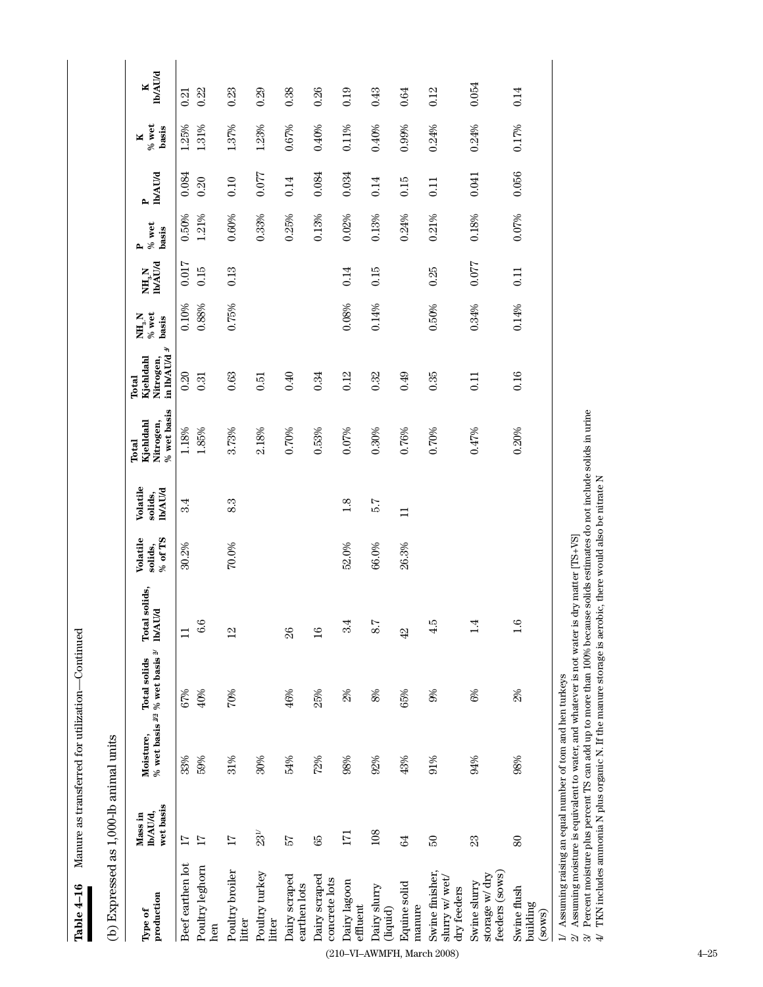Manure as transferred for utilization-Continued **Table 4–16** Manure as transferred for utilization—Continued Table 4-16

as 1 000-lb animal units (b) Expressed as 1,000-lb animal units  $\overline{A}$ 

| 0.054<br>0.26<br>0.14<br>0.38<br>0.19<br>0.64<br>0.12<br>0.23<br>0.29<br>0.43<br>0.22<br>0.21<br>0.99%<br>0.24%<br>0.17%<br>1.31%<br>1.37%<br>1.23%<br>0.67%<br>0.40%<br>$0.11\%$<br>0.40%<br>0.24%<br>1.25%<br>0.056<br>0.077<br>0.084<br>0.034<br>0.041<br>0.084<br>0.10<br>0.14<br>0.20<br>0.14<br>0.15<br>0.11<br>0.07%<br>0.33%<br>0.18%<br>1.21%<br>0.25%<br>0.13%<br>0.02%<br>0.13%<br>0.24%<br>0.21%<br>0.50%<br>0.60%<br>0.017<br>0.077<br>0.15<br>0.13<br>0.15<br>0.25<br>0.14<br>0.11<br>0.14%<br>0.08%<br>0.50%<br>0.34%<br>0.10%<br>0.88%<br>0.75%<br>0.14%<br>0.20<br>0.40<br>0.16<br>0.34<br>0.12<br>0.32<br>0.49<br>0.35<br>0.63<br>0.51<br>0.31<br>0.11<br>1.18%<br>2.18%<br>1.85%<br>3.73%<br>0.70%<br>0.53%<br>0.07%<br>0.30%<br>0.76%<br>0.70%<br>0.47%<br>0.20%<br>5.7<br>83<br>1.8<br>3.4<br>$\Box$<br>70.0%<br>30.2%<br>52.0%<br>66.0%<br>26.3%<br>6.6<br>3.4<br>8.7<br>4.5<br>$\vec{=}$<br>42<br>$\Box$<br>$^{12}$<br>26<br>$\frac{6}{1}$<br>2%<br>$8\%$<br>65%<br>9%<br>$6%$<br>2%<br>40%<br>46%<br>25%<br>67%<br>70%<br>94%<br>98%<br>33%<br>59%<br>31%<br>30%<br>54%<br>72%<br>92%<br>43%<br>91%<br>98%<br>$23^{\mathrm{\scriptscriptstyle U}}$<br>108<br>171<br>24<br>$\mathbb{S}^2$<br>17<br>89<br>$\mathfrak{A}$<br>δŚ<br>$80\,$<br>$\overline{11}$<br>17<br>Beef earthen lot<br>Poultry leghorn<br>Poultry broiler<br>feeders (sows)<br>Swine finisher,<br>Poultry turkey<br>storage w/dry<br>Dairy scraped<br>Dairy scraped<br>slurry w/wet<br>concrete lots<br>Dairy lagoon<br>Swine slurry<br>Equine solid<br>earthen lots<br>Dairy slurry<br>Swine flush<br>dry feeders<br>building<br>effluent<br>manure<br>(liquid)<br>(sows)<br>litter<br>litter<br>hen | production<br>Type of | wet basis<br>Ib/AU/d,<br>Mass in | Moisture, | % wet basis $^{22}$ % wet basis $^{2}$<br><b>Total solids</b> | Total solids,<br><b>IMAU/d</b> | % of TS<br>Volatile<br>solids, | Volatile<br><b>ID/AU/d</b><br>solids, | $\%$ wet basis<br>Kjehldahl<br>Nitrogen,<br>Total | ÷,<br>in lb/AU/d<br>Kjehldahl<br>Nitrogen,<br>Total | % wet<br>$\mathbf{NH}_{3}$ N<br>basis | <b>Ib/AU/d</b><br>NH, N | $\%$ wet<br>basis<br>д | <b>ID/AU/d</b><br>$\mathbf{r}$ | $\%$ wet<br>basis<br>× | <b>Ib/AU/d</b><br>ĸ |
|-----------------------------------------------------------------------------------------------------------------------------------------------------------------------------------------------------------------------------------------------------------------------------------------------------------------------------------------------------------------------------------------------------------------------------------------------------------------------------------------------------------------------------------------------------------------------------------------------------------------------------------------------------------------------------------------------------------------------------------------------------------------------------------------------------------------------------------------------------------------------------------------------------------------------------------------------------------------------------------------------------------------------------------------------------------------------------------------------------------------------------------------------------------------------------------------------------------------------------------------------------------------------------------------------------------------------------------------------------------------------------------------------------------------------------------------------------------------------------------------------------------------------------------------------------------------------------------------------------------------------------------------------------------------------------------------------|-----------------------|----------------------------------|-----------|---------------------------------------------------------------|--------------------------------|--------------------------------|---------------------------------------|---------------------------------------------------|-----------------------------------------------------|---------------------------------------|-------------------------|------------------------|--------------------------------|------------------------|---------------------|
|                                                                                                                                                                                                                                                                                                                                                                                                                                                                                                                                                                                                                                                                                                                                                                                                                                                                                                                                                                                                                                                                                                                                                                                                                                                                                                                                                                                                                                                                                                                                                                                                                                                                                               |                       |                                  |           |                                                               |                                |                                |                                       |                                                   |                                                     |                                       |                         |                        |                                |                        |                     |
|                                                                                                                                                                                                                                                                                                                                                                                                                                                                                                                                                                                                                                                                                                                                                                                                                                                                                                                                                                                                                                                                                                                                                                                                                                                                                                                                                                                                                                                                                                                                                                                                                                                                                               |                       |                                  |           |                                                               |                                |                                |                                       |                                                   |                                                     |                                       |                         |                        |                                |                        |                     |
| (210-VI-AWMFH, March 2008)                                                                                                                                                                                                                                                                                                                                                                                                                                                                                                                                                                                                                                                                                                                                                                                                                                                                                                                                                                                                                                                                                                                                                                                                                                                                                                                                                                                                                                                                                                                                                                                                                                                                    |                       |                                  |           |                                                               |                                |                                |                                       |                                                   |                                                     |                                       |                         |                        |                                |                        |                     |
|                                                                                                                                                                                                                                                                                                                                                                                                                                                                                                                                                                                                                                                                                                                                                                                                                                                                                                                                                                                                                                                                                                                                                                                                                                                                                                                                                                                                                                                                                                                                                                                                                                                                                               |                       |                                  |           |                                                               |                                |                                |                                       |                                                   |                                                     |                                       |                         |                        |                                |                        |                     |
|                                                                                                                                                                                                                                                                                                                                                                                                                                                                                                                                                                                                                                                                                                                                                                                                                                                                                                                                                                                                                                                                                                                                                                                                                                                                                                                                                                                                                                                                                                                                                                                                                                                                                               |                       |                                  |           |                                                               |                                |                                |                                       |                                                   |                                                     |                                       |                         |                        |                                |                        |                     |
|                                                                                                                                                                                                                                                                                                                                                                                                                                                                                                                                                                                                                                                                                                                                                                                                                                                                                                                                                                                                                                                                                                                                                                                                                                                                                                                                                                                                                                                                                                                                                                                                                                                                                               |                       |                                  |           |                                                               |                                |                                |                                       |                                                   |                                                     |                                       |                         |                        |                                |                        |                     |
|                                                                                                                                                                                                                                                                                                                                                                                                                                                                                                                                                                                                                                                                                                                                                                                                                                                                                                                                                                                                                                                                                                                                                                                                                                                                                                                                                                                                                                                                                                                                                                                                                                                                                               |                       |                                  |           |                                                               |                                |                                |                                       |                                                   |                                                     |                                       |                         |                        |                                |                        |                     |
|                                                                                                                                                                                                                                                                                                                                                                                                                                                                                                                                                                                                                                                                                                                                                                                                                                                                                                                                                                                                                                                                                                                                                                                                                                                                                                                                                                                                                                                                                                                                                                                                                                                                                               |                       |                                  |           |                                                               |                                |                                |                                       |                                                   |                                                     |                                       |                         |                        |                                |                        |                     |
|                                                                                                                                                                                                                                                                                                                                                                                                                                                                                                                                                                                                                                                                                                                                                                                                                                                                                                                                                                                                                                                                                                                                                                                                                                                                                                                                                                                                                                                                                                                                                                                                                                                                                               |                       |                                  |           |                                                               |                                |                                |                                       |                                                   |                                                     |                                       |                         |                        |                                |                        |                     |
|                                                                                                                                                                                                                                                                                                                                                                                                                                                                                                                                                                                                                                                                                                                                                                                                                                                                                                                                                                                                                                                                                                                                                                                                                                                                                                                                                                                                                                                                                                                                                                                                                                                                                               |                       |                                  |           |                                                               |                                |                                |                                       |                                                   |                                                     |                                       |                         |                        |                                |                        |                     |
|                                                                                                                                                                                                                                                                                                                                                                                                                                                                                                                                                                                                                                                                                                                                                                                                                                                                                                                                                                                                                                                                                                                                                                                                                                                                                                                                                                                                                                                                                                                                                                                                                                                                                               |                       |                                  |           |                                                               |                                |                                |                                       |                                                   |                                                     |                                       |                         |                        |                                |                        |                     |
|                                                                                                                                                                                                                                                                                                                                                                                                                                                                                                                                                                                                                                                                                                                                                                                                                                                                                                                                                                                                                                                                                                                                                                                                                                                                                                                                                                                                                                                                                                                                                                                                                                                                                               |                       |                                  |           |                                                               |                                |                                |                                       |                                                   |                                                     |                                       |                         |                        |                                |                        |                     |
|                                                                                                                                                                                                                                                                                                                                                                                                                                                                                                                                                                                                                                                                                                                                                                                                                                                                                                                                                                                                                                                                                                                                                                                                                                                                                                                                                                                                                                                                                                                                                                                                                                                                                               | $4 - 25$              |                                  |           |                                                               |                                |                                |                                       |                                                   |                                                     |                                       |                         |                        |                                |                        |                     |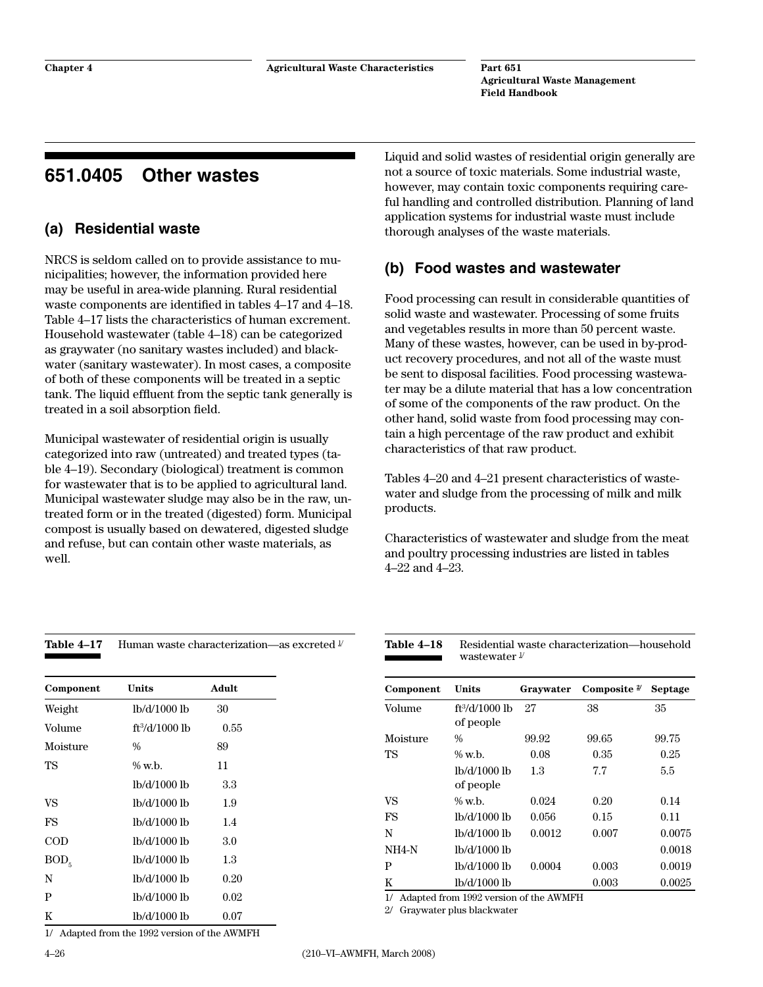# **651.0405 Other wastes**

# **(a) Residential waste**

NRCS is seldom called on to provide assistance to municipalities; however, the information provided here may be useful in area-wide planning. Rural residential waste components are identified in tables 4–17 and 4–18. Table 4–17 lists the characteristics of human excrement. Household wastewater (table 4–18) can be categorized as graywater (no sanitary wastes included) and blackwater (sanitary wastewater). In most cases, a composite of both of these components will be treated in a septic tank. The liquid effluent from the septic tank generally is treated in a soil absorption field.

Municipal wastewater of residential origin is usually categorized into raw (untreated) and treated types (table 4–19). Secondary (biological) treatment is common for wastewater that is to be applied to agricultural land. Municipal wastewater sludge may also be in the raw, untreated form or in the treated (digested) form. Municipal compost is usually based on dewatered, digested sludge and refuse, but can contain other waste materials, as well.

Table 4–17 Human waste characterization—as excreted  $\frac{1}{2}$ 

Liquid and solid wastes of residential origin generally are not a source of toxic materials. Some industrial waste, however, may contain toxic components requiring careful handling and controlled distribution. Planning of land application systems for industrial waste must include thorough analyses of the waste materials.

# **(b) Food wastes and wastewater**

Food processing can result in considerable quantities of solid waste and wastewater. Processing of some fruits and vegetables results in more than 50 percent waste. Many of these wastes, however, can be used in by-product recovery procedures, and not all of the waste must be sent to disposal facilities. Food processing wastewater may be a dilute material that has a low concentration of some of the components of the raw product. On the other hand, solid waste from food processing may contain a high percentage of the raw product and exhibit characteristics of that raw product.

Tables 4–20 and 4–21 present characteristics of wastewater and sludge from the processing of milk and milk products.

Characteristics of wastewater and sludge from the meat and poultry processing industries are listed in tables 4–22 and 4–23.

Table 4-18 Residential waste characterization—household

| Component        | Units            | Adult |
|------------------|------------------|-------|
| Weight           | lb/d/1000 lb     | 30    |
| Volume           | $ft^3/d/1000$ lb | 0.55  |
| Moisture         | $\frac{0}{0}$    | 89    |
| TS               | $\%$ w.h.        | 11    |
|                  | lb/d/1000 lb     | 3.3   |
| VS               | lb/d/1000 lb     | 1.9   |
| FS               | lb/d/1000 lb     | 1.4   |
| COD              | lb/d/1000 lb     | 3.0   |
| BOD <sub>5</sub> | lb/d/1000 lb     | 1.3   |
| N                | lb/d/1000 lb     | 0.20  |
| P                | lb/d/1000 lb     | 0.02  |
| K                | lb/d/1000 lb     | 0.07  |

1/ Adapted from the 1992 version of the AWMFH

wastewater  $\frac{1}{2}$ **Component Units Graywater Composite 2/ Septage** Volume ft<sup>3</sup>/d/1000 lb of people 27 38 35 Moisture % 99.92 99.65 99.75 TS % w.b. 0.08 0.35 0.25 lb/d/1000 lb of people 1.3 7.7 5.5 VS % w.b. 0.024 0.20 0.14 FS lb/d/1000 lb 0.056 0.15 0.11 N lb/d/1000 lb 0.0012 0.007 0.0075 NH4-N lb/d/1000 lb 0.0018 P lb/d/1000 lb 0.0004 0.003 0.0019 K lb/d/1000 lb 0.003 0.0025

1/ Adapted from 1992 version of the AWMFH

2/ Graywater plus blackwater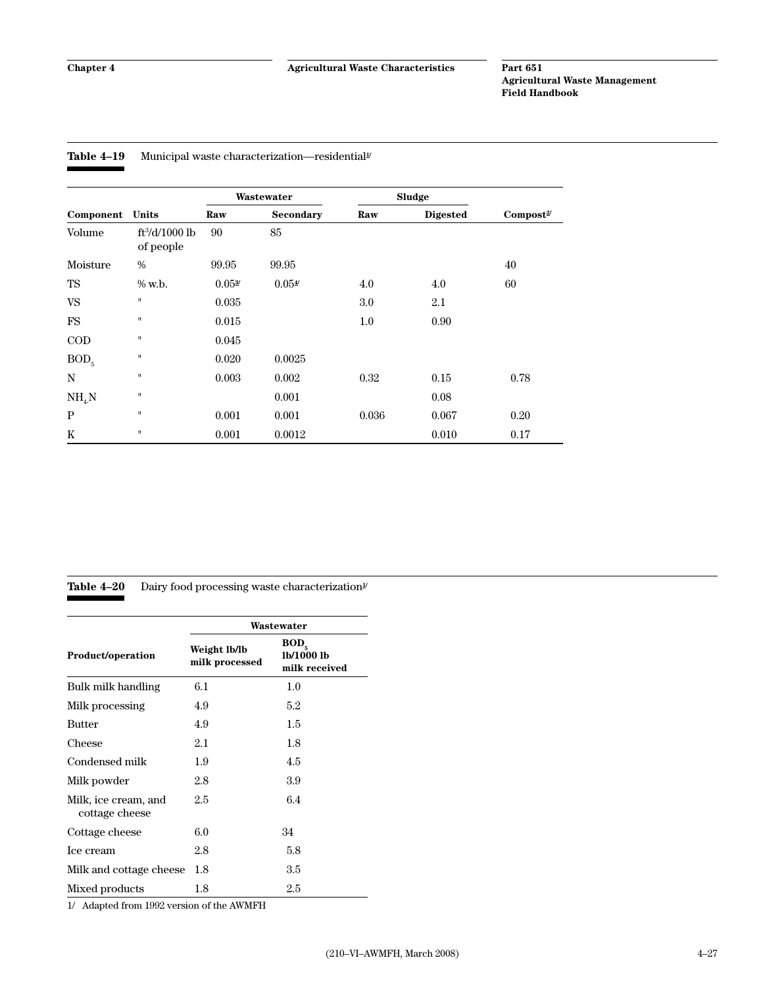| Table 4–19 |  | Municipal waste characterization—residential <sup>1</sup> |  |
|------------|--|-----------------------------------------------------------|--|
|------------|--|-----------------------------------------------------------|--|

|                  |                               |                    | Wastewater       |         | Sludge          |                      |
|------------------|-------------------------------|--------------------|------------------|---------|-----------------|----------------------|
| Component        | Units                         | Raw                | <b>Secondary</b> | Raw     | <b>Digested</b> | Compost <sup>2</sup> |
| Volume           | $ft^3/d/1000$ lb<br>of people | 90                 | 85               |         |                 |                      |
| Moisture         | $\%$                          | 99.95              | 99.95            |         |                 | 40                   |
| TS               | % w.b.                        | 0.05 <sup>37</sup> | 0.054            | 4.0     | 4.0             | 60                   |
| <b>VS</b>        | $\sf H$                       | 0.035              |                  | 3.0     | 2.1             |                      |
| <b>FS</b>        | $\pmb{\mathsf{H}}$            | 0.015              |                  | $1.0\,$ | 0.90            |                      |
| $\rm{COD}$       | $\pmb{\mathsf{H}}$            | 0.045              |                  |         |                 |                      |
| BOD <sub>5</sub> | $\pmb{\mathsf{H}}$            | 0.020              | 0.0025           |         |                 |                      |
| N                | $\pmb{\mathsf{H}}$            | 0.003              | 0.002            | 0.32    | 0.15            | 0.78                 |
| $NH_{4}N$        | $\pmb{\mathsf{H}}$            |                    | 0.001            |         | 0.08            |                      |
| P                | $\pmb{\mathsf{H}}$            | 0.001              | 0.001            | 0.036   | 0.067           | 0.20                 |
| K                | $\pmb{\mathsf{H}}$            | 0.001              | 0.0012           |         | 0.010           | 0.17                 |

### Table 4–20 Dairy food processing waste characterization<sup>1/</sup>

|                                        |                                | Wastewater                                      |
|----------------------------------------|--------------------------------|-------------------------------------------------|
| <b>Product/operation</b>               | Weight lb/lb<br>milk processed | BOD <sub>z</sub><br>lb/1000 lb<br>milk received |
| Bulk milk handling                     | 6.1                            | 1.0                                             |
| Milk processing                        | 4.9                            | $5.2\,$                                         |
| <b>Butter</b>                          | 4.9                            | 1.5                                             |
| Cheese                                 | 2.1                            | 1.8                                             |
| Condensed milk                         | 1.9                            | 4.5                                             |
| Milk powder                            | 2.8                            | 3.9                                             |
| Milk, ice cream, and<br>cottage cheese | 2.5                            | 6.4                                             |
| Cottage cheese                         | 6.0                            | 34                                              |
| Ice cream                              | 2.8                            | 5.8                                             |
| Milk and cottage cheese                | 1.8                            | 3.5                                             |
| Mixed products                         | 1.8                            | 2.5                                             |

1/ Adapted from 1992 version of the AWMFH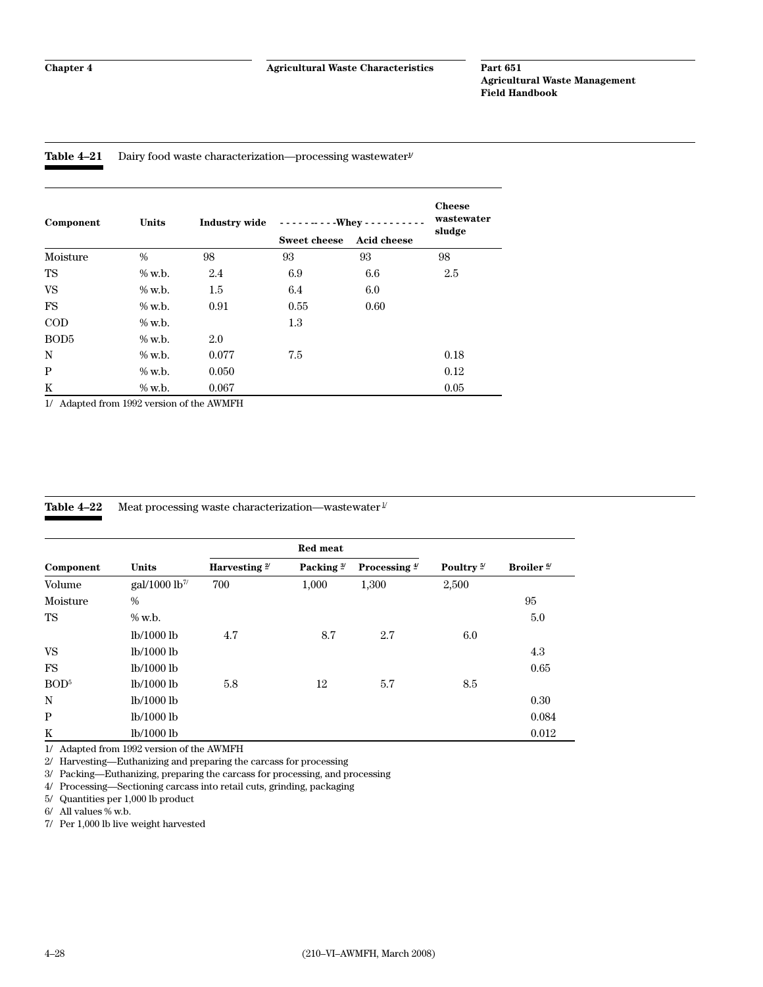#### Table 4-21 Dairy food waste characterization—processing wastewater<sup>y</sup>

| Component        | Units     | <b>Industry wide</b> | $---$ Whey - - - -  |                    | <b>Cheese</b><br>wastewater |
|------------------|-----------|----------------------|---------------------|--------------------|-----------------------------|
|                  |           |                      | <b>Sweet cheese</b> | <b>Acid cheese</b> | sludge                      |
| Moisture         | $\%$      | 98                   | 93                  | 93                 | 98                          |
| TS               | $\%$ w.b. | 2.4                  | 6.9                 | 6.6                | 2.5                         |
| <b>VS</b>        | $\%$ w.b. | 1.5                  | 6.4                 | 6.0                |                             |
| <b>FS</b>        | $\%$ w.b. | 0.91                 | 0.55                | 0.60               |                             |
| $\rm{COD}$       | $\%$ w.b. |                      | 1.3                 |                    |                             |
| BOD <sub>5</sub> | $%$ w.b.  | 2.0                  |                     |                    |                             |
| N                | $%$ w.b.  | 0.077                | 7.5                 |                    | 0.18                        |
| $\, {\bf P}$     | $\%$ w.b. | 0.050                |                     |                    | 0.12                        |
| K                | $\%$ w.b. | 0.067                |                     |                    | 0.05                        |

1/ Adapted from 1992 version of the AWMFH

| Table 4–22 | Meat processing waste characterization—wastewater $\frac{1}{2}$ |
|------------|-----------------------------------------------------------------|
|            |                                                                 |

|                  |                                    |                 | <b>Red meat</b>       |                          |                       |                       |
|------------------|------------------------------------|-----------------|-----------------------|--------------------------|-----------------------|-----------------------|
| Component        | <b>Units</b>                       | Harvesting $2/$ | Packing $\frac{3}{2}$ | Processing $\frac{4}{3}$ | Poultry $\frac{5}{2}$ | Broiler <sup>6/</sup> |
| Volume           | $\text{gal}/1000 \text{ lb}^{\pi}$ | 700             | 1,000                 | 1,300                    | 2,500                 |                       |
| Moisture         | $\frac{0}{0}$                      |                 |                       |                          |                       | 95                    |
| TS               | $%$ w.b.                           |                 |                       |                          |                       | 5.0                   |
|                  | lb/1000 lb                         | 4.7             | 8.7                   | 2.7                      | 6.0                   |                       |
| VS               | lb/1000 lb                         |                 |                       |                          |                       | 4.3                   |
| FS               | lb/1000 lb                         |                 |                       |                          |                       | 0.65                  |
| BOD <sup>5</sup> | lb/1000 lb                         | 5.8             | 12                    | 5.7                      | 8.5                   |                       |
| N                | lb/1000 lb                         |                 |                       |                          |                       | 0.30                  |
| P                | lb/1000 lb                         |                 |                       |                          |                       | 0.084                 |
| K                | lb/1000 lb                         |                 |                       |                          |                       | 0.012                 |

1/ Adapted from 1992 version of the AWMFH

2/ Harvesting—Euthanizing and preparing the carcass for processing

3/ Packing—Euthanizing, preparing the carcass for processing, and processing

4/ Processing—Sectioning carcass into retail cuts, grinding, packaging

5/ Quantities per 1,000 lb product

6/ All values % w.b.

7/ Per 1,000 lb live weight harvested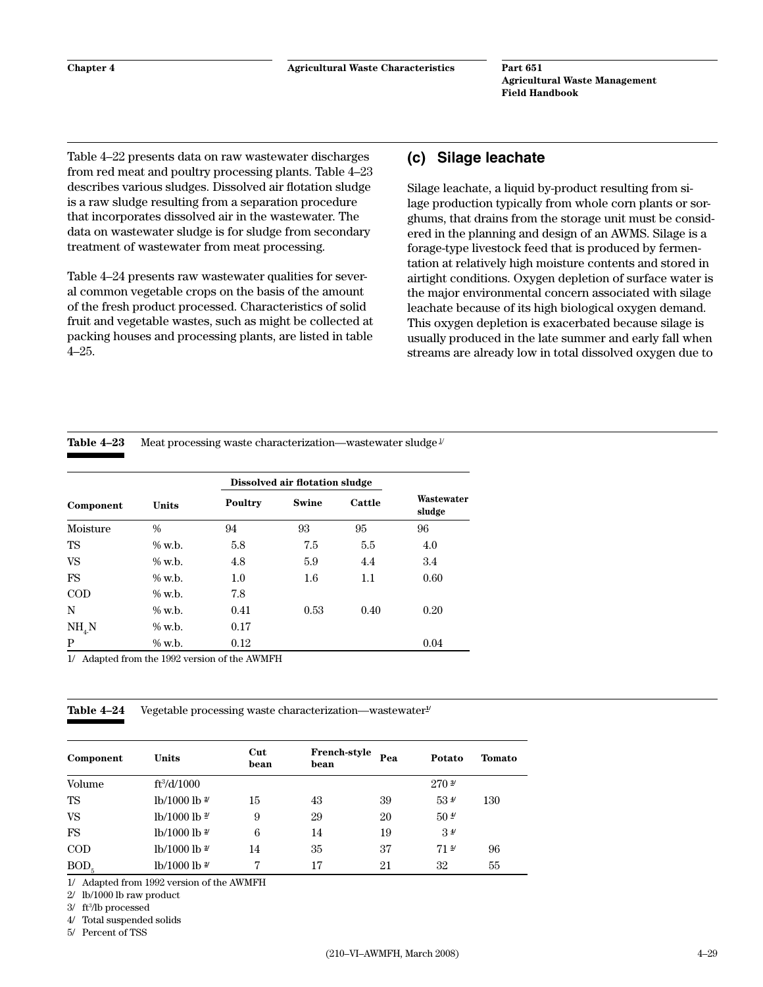Table 4–22 presents data on raw wastewater discharges from red meat and poultry processing plants. Table 4–23 describes various sludges. Dissolved air flotation sludge is a raw sludge resulting from a separation procedure that incorporates dissolved air in the wastewater. The data on wastewater sludge is for sludge from secondary treatment of wastewater from meat processing.

Table 4–24 presents raw wastewater qualities for several common vegetable crops on the basis of the amount of the fresh product processed. Characteristics of solid fruit and vegetable wastes, such as might be collected at packing houses and processing plants, are listed in table 4–25.

### **(c) Silage leachate**

Silage leachate, a liquid by-product resulting from silage production typically from whole corn plants or sorghums, that drains from the storage unit must be considered in the planning and design of an AWMS. Silage is a forage-type livestock feed that is produced by fermentation at relatively high moisture contents and stored in airtight conditions. Oxygen depletion of surface water is the major environmental concern associated with silage leachate because of its high biological oxygen demand. This oxygen depletion is exacerbated because silage is usually produced in the late summer and early fall when streams are already low in total dissolved oxygen due to

Table 4–23 Meat processing waste characterization—wastewater sludge  $\frac{1}{2}$ 

|            |              |         | Dissolved air flotation sludge |        |                      |
|------------|--------------|---------|--------------------------------|--------|----------------------|
| Component  | <b>Units</b> | Poultry | <b>Swine</b>                   | Cattle | Wastewater<br>sludge |
| Moisture   | $\%$         | 94      | 93                             | 95     | 96                   |
| TS         | % w.b.       | 5.8     | 7.5                            | 5.5    | 4.0                  |
| <b>VS</b>  | $%$ w.b.     | 4.8     | 5.9                            | 4.4    | 3.4                  |
| <b>FS</b>  | $\%$ w.b.    | 1.0     | 1.6                            | 1.1    | 0.60                 |
| $\rm{COD}$ | $%$ w.b.     | 7.8     |                                |        |                      |
| N          | $\%$ w.b.    | 0.41    | 0.53                           | 0.40   | 0.20                 |
| $NH_{4}N$  | $\%$ w.b.    | 0.17    |                                |        |                      |
| P          | % w.b.       | 0.12    |                                |        | 0.04                 |

1/ Adapted from the 1992 version of the AWMFH

**Table 4–24** Vegetable processing waste characterization—wastewater<sup>*y*</sup>

| Component        | Units                    | Cut<br>bean | <b>French-style</b><br>bean | Pea | Potato            | <b>Tomato</b> |
|------------------|--------------------------|-------------|-----------------------------|-----|-------------------|---------------|
| Volume           | $ft\frac{3}{d}$ 1000     |             |                             |     | 270 <sup>37</sup> |               |
| TS               | lb/1000 lb $2$           | 15          | 43                          | 39  | $53 \frac{4}{3}$  | 130           |
| <b>VS</b>        | lb/1000 lb $\frac{2}{7}$ | 9           | 29                          | 20  | $50 \frac{4}{3}$  |               |
| FS               | lb/1000 lb $\frac{2}{7}$ | 6           | 14                          | 19  | 3 <sup>4</sup>    |               |
| $\rm{COD}$       | lb/1000 lb $\frac{2}{7}$ | 14          | 35                          | 37  | 71 <sup>5</sup>   | 96            |
| BOD <sub>5</sub> | lb/1000 lb $\frac{2}{7}$ | 7           | 17                          | 21  | 32                | 55            |

1/ Adapted from 1992 version of the AWMFH

2/ lb/1000 lb raw product

3/ ft3 /lb processed

4/ Total suspended solids

5/ Percent of TSS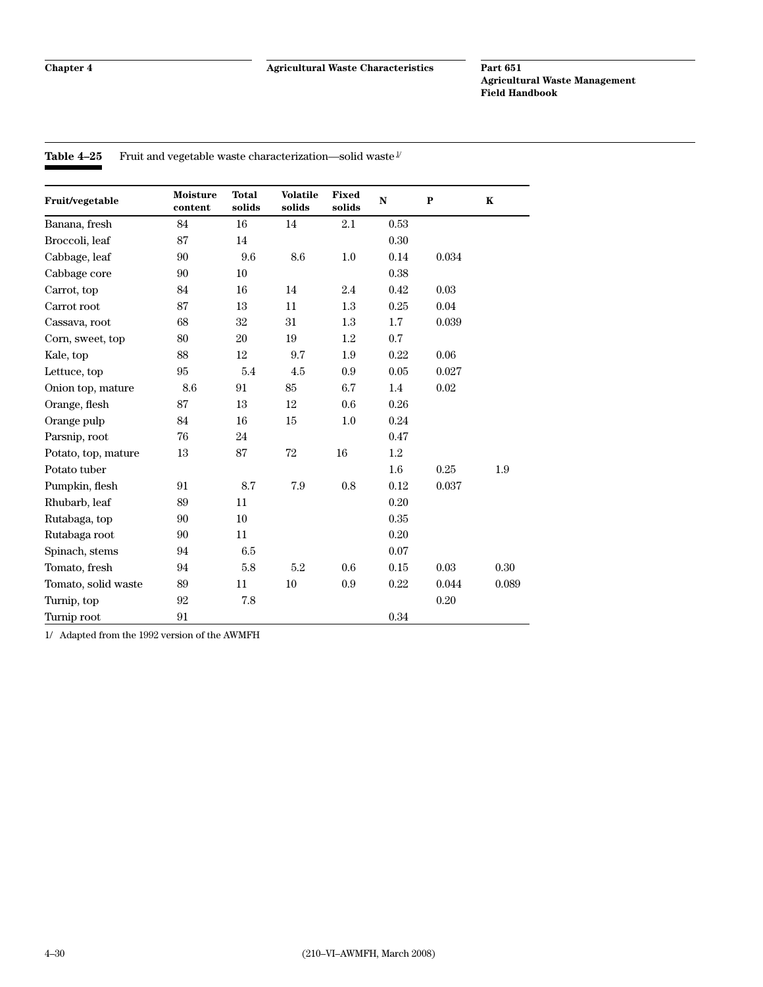**Table 4–25** Fruit and vegetable waste characterization—solid waste  $\frac{1}{x}$ 

| Fruit/vegetable     | <b>Moisture</b><br>content | <b>Total</b><br>solids | <b>Volatile</b><br>solids | <b>Fixed</b><br>solids | ${\bf N}$ | ${\bf P}$ | K     |
|---------------------|----------------------------|------------------------|---------------------------|------------------------|-----------|-----------|-------|
| Banana, fresh       | 84                         | 16                     | 14                        | 2.1                    | 0.53      |           |       |
| Broccoli, leaf      | 87                         | 14                     |                           |                        | 0.30      |           |       |
| Cabbage, leaf       | 90                         | 9.6                    | $\!\!\!\!\!8.6$           | $1.0\,$                | 0.14      | 0.034     |       |
| Cabbage core        | 90                         | 10                     |                           |                        | 0.38      |           |       |
| Carrot, top         | 84                         | 16                     | 14                        | 2.4                    | 0.42      | 0.03      |       |
| Carrot root         | 87                         | 13                     | 11                        | $1.3\,$                | 0.25      | 0.04      |       |
| Cassava, root       | 68                         | 32                     | 31                        | 1.3                    | 1.7       | 0.039     |       |
| Corn, sweet, top    | 80                         | 20                     | 19                        | 1.2                    | 0.7       |           |       |
| Kale, top           | 88                         | 12                     | $\rm 9.7$                 | 1.9                    | 0.22      | 0.06      |       |
| Lettuce, top        | 95                         | 5.4                    | 4.5                       | 0.9                    | 0.05      | 0.027     |       |
| Onion top, mature   | 8.6                        | 91                     | 85                        | 6.7                    | 1.4       | 0.02      |       |
| Orange, flesh       | 87                         | 13                     | 12                        | 0.6                    | 0.26      |           |       |
| Orange pulp         | 84                         | 16                     | 15                        | $1.0\,$                | 0.24      |           |       |
| Parsnip, root       | 76                         | 24                     |                           |                        | 0.47      |           |       |
| Potato, top, mature | 13                         | 87                     | 72                        | 16                     | 1.2       |           |       |
| Potato tuber        |                            |                        |                           |                        | 1.6       | 0.25      | 1.9   |
| Pumpkin, flesh      | 91                         | 8.7                    | 7.9                       | 0.8                    | 0.12      | 0.037     |       |
| Rhubarb, leaf       | 89                         | 11                     |                           |                        | 0.20      |           |       |
| Rutabaga, top       | 90                         | 10                     |                           |                        | 0.35      |           |       |
| Rutabaga root       | 90                         | 11                     |                           |                        | 0.20      |           |       |
| Spinach, stems      | 94                         | 6.5                    |                           |                        | 0.07      |           |       |
| Tomato, fresh       | 94                         | 5.8                    | 5.2                       | 0.6                    | 0.15      | 0.03      | 0.30  |
| Tomato, solid waste | 89                         | 11                     | 10                        | 0.9                    | 0.22      | 0.044     | 0.089 |
| Turnip, top         | 92                         | 7.8                    |                           |                        |           | 0.20      |       |
| Turnip root         | 91                         |                        |                           |                        | $0.34\,$  |           |       |

1/ Adapted from the 1992 version of the AWMFH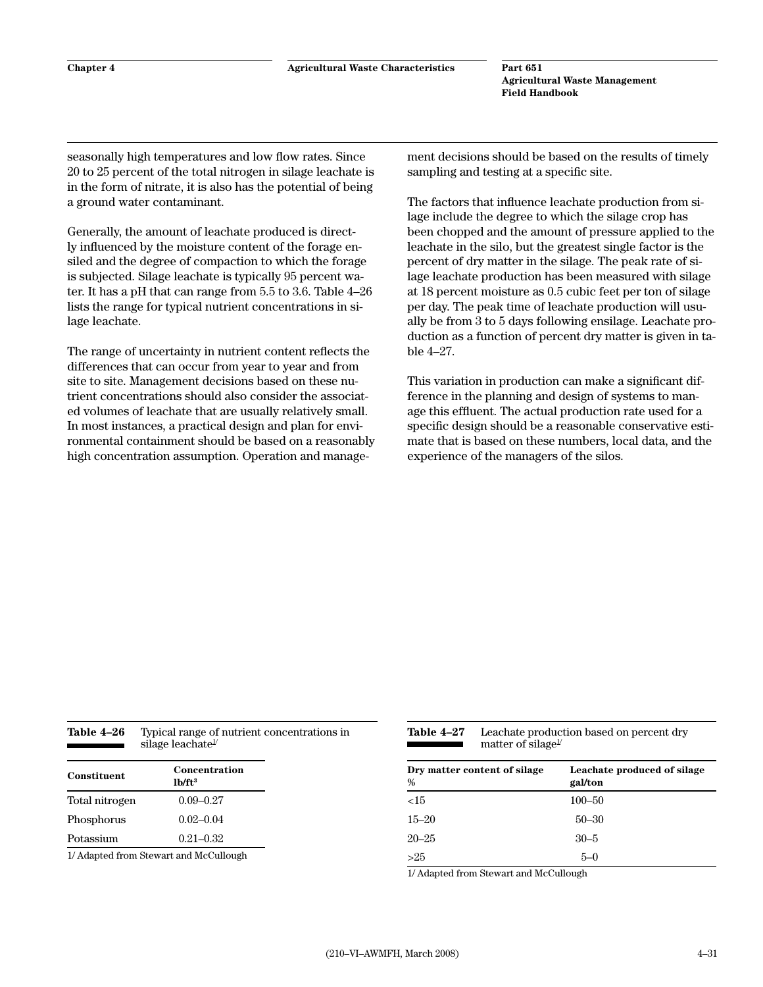seasonally high temperatures and low flow rates. Since 20 to 25 percent of the total nitrogen in silage leachate is in the form of nitrate, it is also has the potential of being a ground water contaminant.

Generally, the amount of leachate produced is directly influenced by the moisture content of the forage ensiled and the degree of compaction to which the forage is subjected. Silage leachate is typically 95 percent water. It has a pH that can range from 5.5 to 3.6. Table 4–26 lists the range for typical nutrient concentrations in silage leachate.

The range of uncertainty in nutrient content reflects the differences that can occur from year to year and from site to site. Management decisions based on these nutrient concentrations should also consider the associated volumes of leachate that are usually relatively small. In most instances, a practical design and plan for environmental containment should be based on a reasonably high concentration assumption. Operation and management decisions should be based on the results of timely sampling and testing at a specific site.

The factors that influence leachate production from silage include the degree to which the silage crop has been chopped and the amount of pressure applied to the leachate in the silo, but the greatest single factor is the percent of dry matter in the silage. The peak rate of silage leachate production has been measured with silage at 18 percent moisture as 0.5 cubic feet per ton of silage per day. The peak time of leachate production will usually be from 3 to 5 days following ensilage. Leachate production as a function of percent dry matter is given in table 4–27.

This variation in production can make a significant difference in the planning and design of systems to manage this effluent. The actual production rate used for a specific design should be a reasonable conservative estimate that is based on these numbers, local data, and the experience of the managers of the silos.

| Table 4–26 | Typical range of nutrient concentrations in |
|------------|---------------------------------------------|
|            | silage leachate <sup><math>\nu</math></sup> |
|            |                                             |

| Constituent    | Concentration<br>1 <sub>b</sub> /ft <sup>3</sup> |
|----------------|--------------------------------------------------|
| Total nitrogen | $0.09 - 0.27$                                    |
| Phosphorus     | $0.02 - 0.04$                                    |
| Potassium      | $0.21 - 0.32$                                    |

1/ Adapted from Stewart and McCullough

| Table 4–27 | Leachate production based on percent dry     |
|------------|----------------------------------------------|
|            | matter of silage <sup><math>\nu</math></sup> |

| Dry matter content of silage<br>% | Leachate produced of silage<br>gal/ton |  |  |  |
|-----------------------------------|----------------------------------------|--|--|--|
| <15                               | $100 - 50$                             |  |  |  |
| $15 - 20$                         | $50 - 30$                              |  |  |  |
| $20 - 25$                         | $30 - 5$                               |  |  |  |
| >25                               | 5–0                                    |  |  |  |

1/ Adapted from Stewart and McCullough